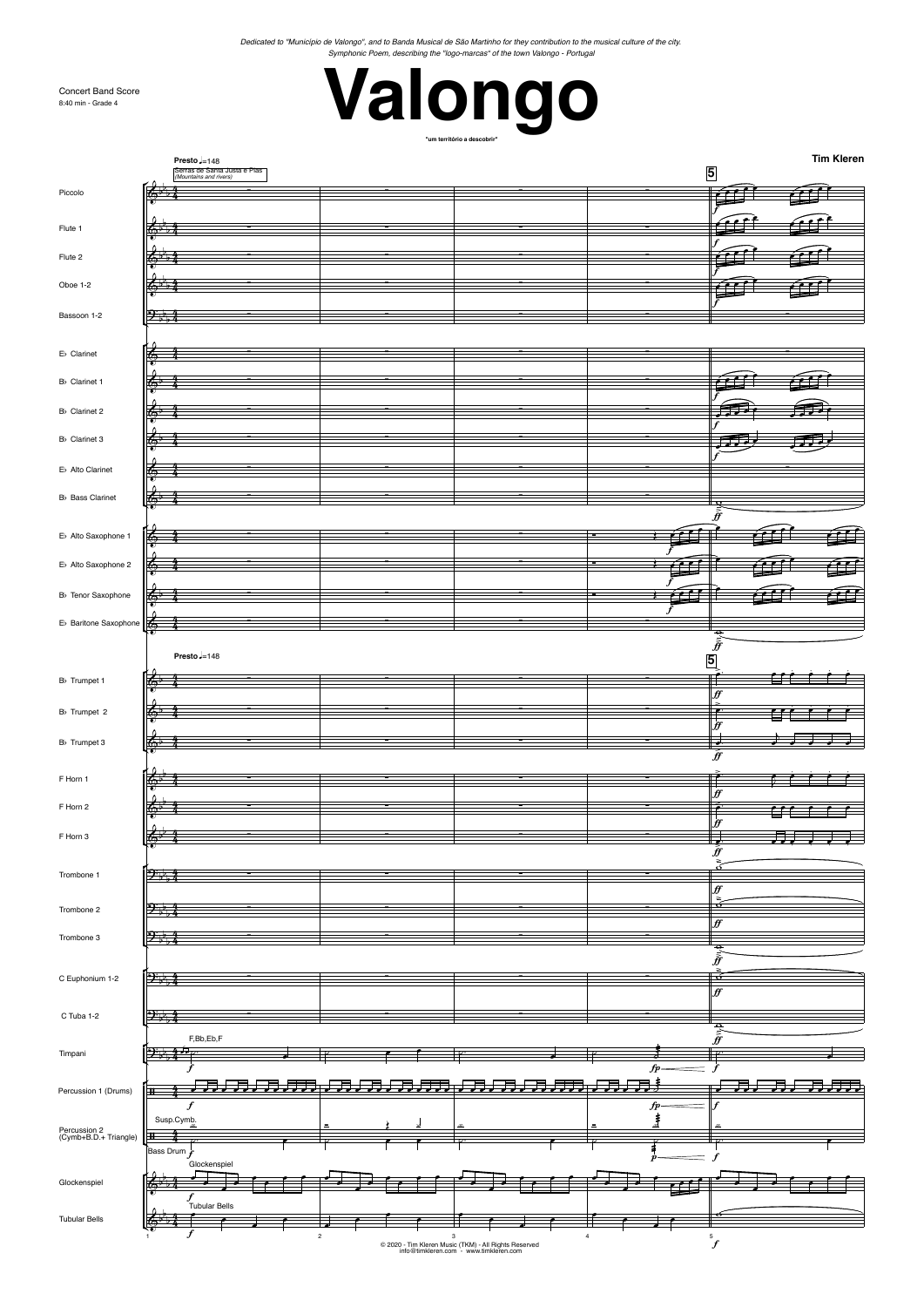Dedicated to "Município de Valongo", and to Banda Musical de São Martinho for they contribution to the musical culture of the city.

Symphonic Poem, describing the "logo-marcas" of the town Valongo - Portugal

Concert Band Score 8:40 min - Grade 4



|                                | Presto J=148                         | Serras de Santa Justa e Pias<br>(Mountains and rivers) |  |             | <b>Tim Kleren</b><br>$\sqrt{5}$                                                                                       |
|--------------------------------|--------------------------------------|--------------------------------------------------------|--|-------------|-----------------------------------------------------------------------------------------------------------------------|
| Piccolo                        | $\mathscr{C}^\flat$                  |                                                        |  |             |                                                                                                                       |
|                                |                                      |                                                        |  |             |                                                                                                                       |
|                                |                                      |                                                        |  |             |                                                                                                                       |
| Flute 1                        | ί4                                   |                                                        |  |             |                                                                                                                       |
|                                |                                      |                                                        |  |             |                                                                                                                       |
|                                |                                      |                                                        |  |             |                                                                                                                       |
| Flute 2                        |                                      |                                                        |  |             |                                                                                                                       |
|                                |                                      |                                                        |  |             |                                                                                                                       |
| Oboe 1-2                       |                                      |                                                        |  |             |                                                                                                                       |
|                                |                                      |                                                        |  |             |                                                                                                                       |
| Bassoon 1-2                    | $\mathcal{D} \models_{\mathcal{F}}$  |                                                        |  |             |                                                                                                                       |
|                                |                                      |                                                        |  |             |                                                                                                                       |
|                                |                                      |                                                        |  |             |                                                                                                                       |
| Eb Clarinet                    | Φ                                    |                                                        |  |             |                                                                                                                       |
|                                |                                      |                                                        |  |             |                                                                                                                       |
| Bb Clarinet 1                  | Ο.                                   |                                                        |  |             |                                                                                                                       |
|                                |                                      |                                                        |  |             |                                                                                                                       |
| Bb Clarinet 2                  |                                      |                                                        |  |             |                                                                                                                       |
|                                |                                      |                                                        |  |             |                                                                                                                       |
| B <sub>b</sub> Clarinet 3      |                                      |                                                        |  |             |                                                                                                                       |
|                                | ⊕                                    |                                                        |  |             |                                                                                                                       |
|                                |                                      |                                                        |  |             |                                                                                                                       |
| Eb Alto Clarinet               | 虛                                    |                                                        |  |             |                                                                                                                       |
|                                |                                      |                                                        |  |             |                                                                                                                       |
| B <sub>b</sub> Bass Clarinet   | $\Phi$                               |                                                        |  |             |                                                                                                                       |
|                                |                                      |                                                        |  |             | $\bar{\tilde{f}}$                                                                                                     |
|                                |                                      |                                                        |  |             |                                                                                                                       |
| Eb Alto Saxophone 1            | ଙ                                    |                                                        |  |             |                                                                                                                       |
|                                |                                      |                                                        |  |             |                                                                                                                       |
| Eb Alto Saxophone 2            | Ю                                    |                                                        |  | -           | <i>. .</i>                                                                                                            |
|                                | ∙                                    |                                                        |  |             |                                                                                                                       |
| B <sub>b</sub> Tenor Saxophone |                                      |                                                        |  | <u>ér</u> e | $\overline{\phantom{a}}$                                                                                              |
|                                | ∞                                    |                                                        |  |             |                                                                                                                       |
|                                |                                      |                                                        |  |             |                                                                                                                       |
| Eb Baritone Saxophone          | r\$                                  |                                                        |  |             |                                                                                                                       |
|                                |                                      |                                                        |  |             | $\frac{1}{\sqrt{\frac{2}{5}}}$                                                                                        |
|                                | Presto J=148                         |                                                        |  |             |                                                                                                                       |
|                                |                                      |                                                        |  |             |                                                                                                                       |
| Bb Trumpet 1                   | <u>(၇</u>                            |                                                        |  |             | $\mathbb H$<br>$\blacksquare$                                                                                         |
|                                |                                      |                                                        |  |             | f f                                                                                                                   |
| B <sub>b</sub> Trumpet 2       | (എ⊅                                  |                                                        |  |             | $\mathbf{r}$<br>$\epsilon$ $\epsilon$ $\epsilon$                                                                      |
|                                |                                      |                                                        |  |             | $ \bm{\mathit{ff}} $                                                                                                  |
|                                |                                      |                                                        |  |             | $\overline{\phantom{a}}$<br>₽                                                                                         |
| B <sub>b</sub> Trumpet 3       | ।ईु                                  |                                                        |  |             | $\check{\widehat{f\hspace{-0.1cm}f\hspace{-0.1cm}f\hspace{-0.1cm}}}$                                                  |
|                                |                                      |                                                        |  |             |                                                                                                                       |
| F Horn 1                       |                                      |                                                        |  |             | $\mathop{\mathbb{F}}$<br>≏<br>≄                                                                                       |
|                                |                                      |                                                        |  |             | $\dot{f}$                                                                                                             |
| F Horn 2                       |                                      |                                                        |  |             | $\overline{\phantom{a}}$                                                                                              |
|                                |                                      |                                                        |  |             | $\Box$<br>$\overline{\phantom{a}}$<br>←                                                                               |
|                                |                                      |                                                        |  |             | $\bm{\mathit{ff}}$                                                                                                    |
| F Horn 3                       |                                      |                                                        |  |             | $\exists$<br>Л,                                                                                                       |
|                                |                                      |                                                        |  |             | $\check{\tilde{f\hspace{-0.1cm}f\hspace{-0.1cm}f\hspace{-0.1cm}}$                                                     |
|                                |                                      |                                                        |  |             | $\tilde{\vec{\Delta}}$                                                                                                |
| Trombone 1                     | [2,1]                                |                                                        |  |             |                                                                                                                       |
|                                |                                      |                                                        |  |             | f f                                                                                                                   |
| Trombone 2                     | $9 + 4$                              |                                                        |  |             | $\frac{1}{3}$                                                                                                         |
|                                |                                      |                                                        |  |             | $ f\hspace{-0.8mm}f\hspace{-0.8mm}f$                                                                                  |
| Trombone 3                     | $\mathcal{P}\rightarrow \mathcal{A}$ |                                                        |  |             |                                                                                                                       |
|                                |                                      |                                                        |  |             |                                                                                                                       |
|                                |                                      |                                                        |  |             | $\begin{array}{c}\n\overrightarrow{f} \\ \overrightarrow{f} \\ \overrightarrow{f} \\ \overrightarrow{f}\n\end{array}$ |
| C Euphonium 1-2                | $2 + 4$                              |                                                        |  |             |                                                                                                                       |
|                                |                                      |                                                        |  |             |                                                                                                                       |

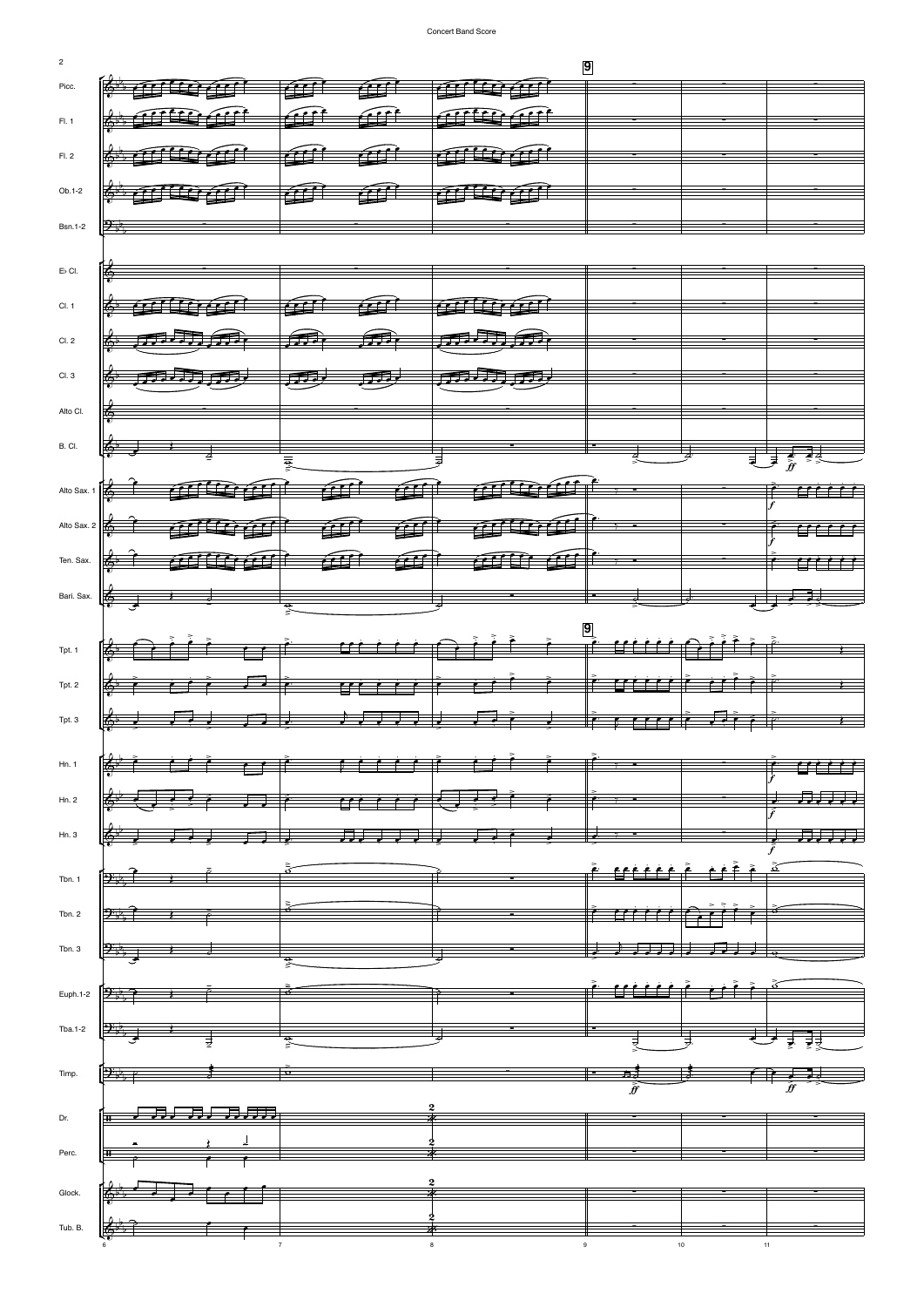

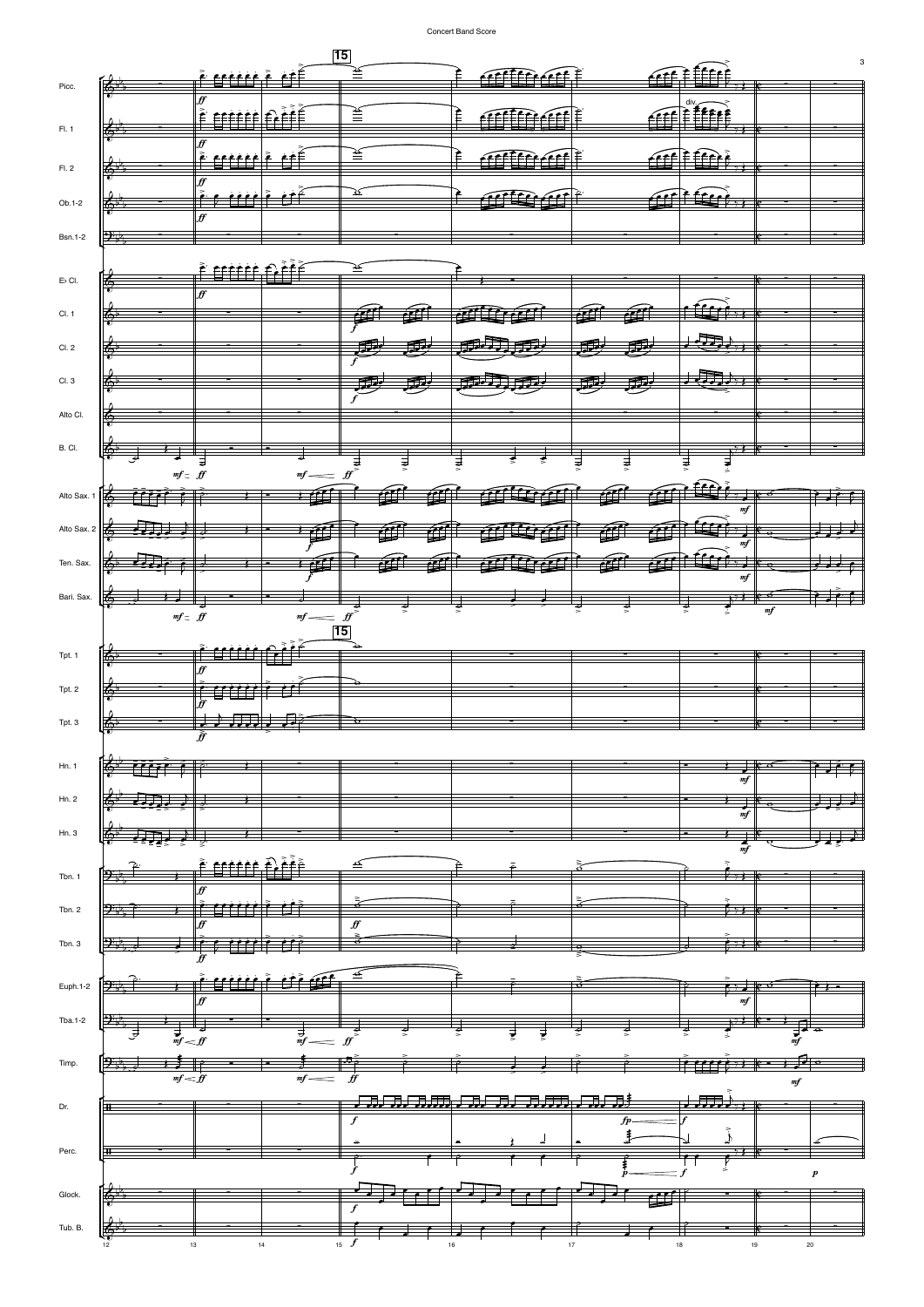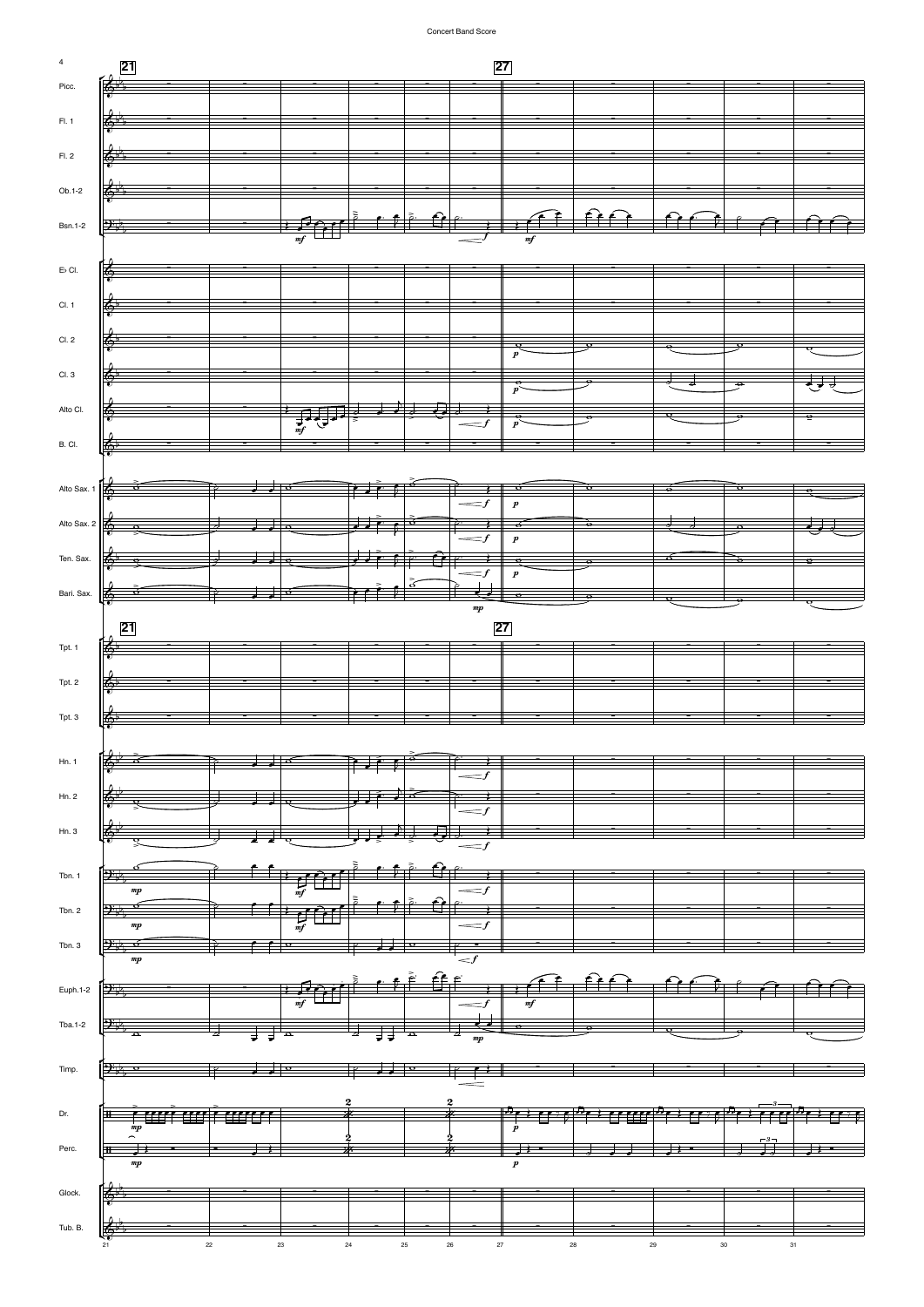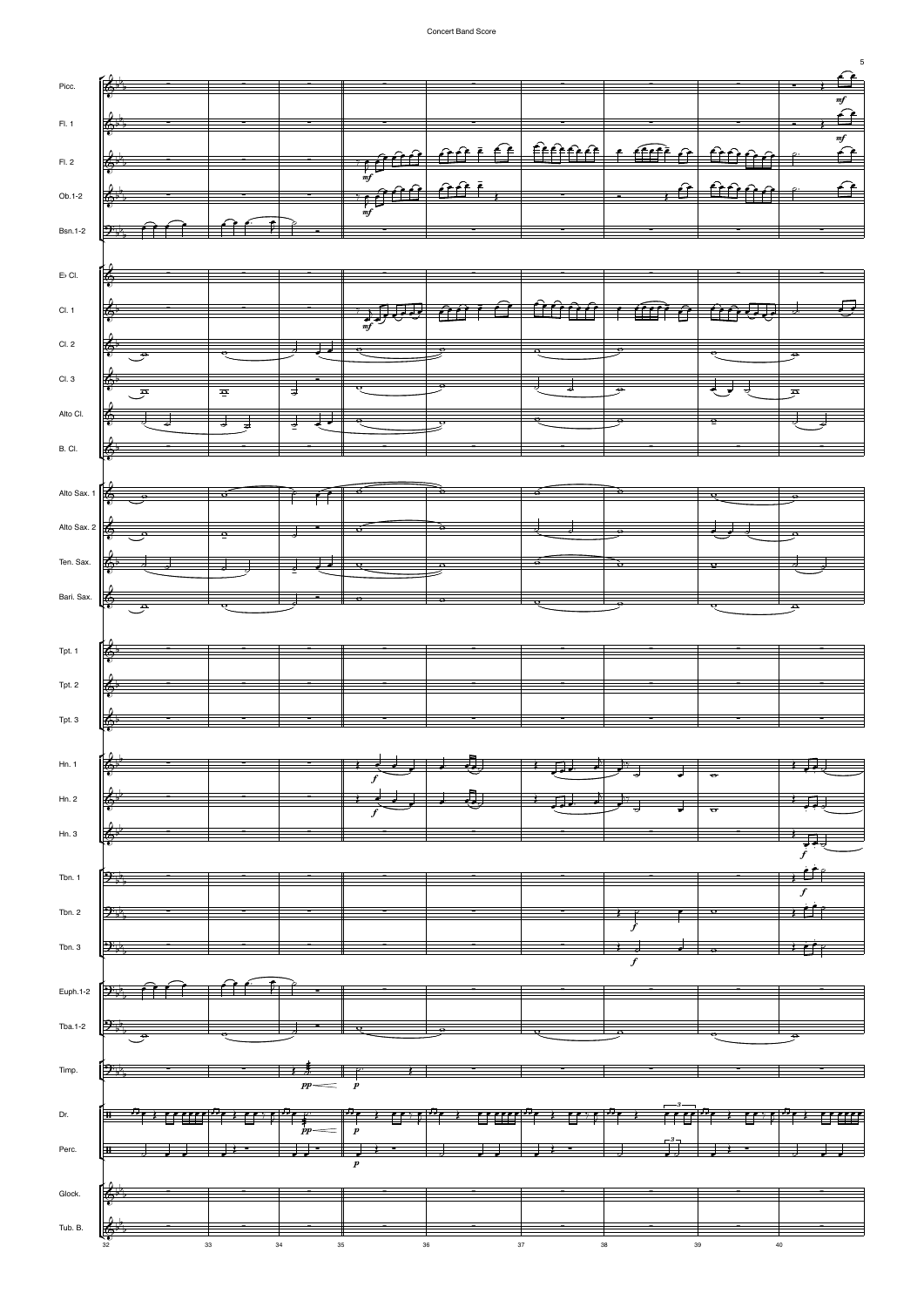

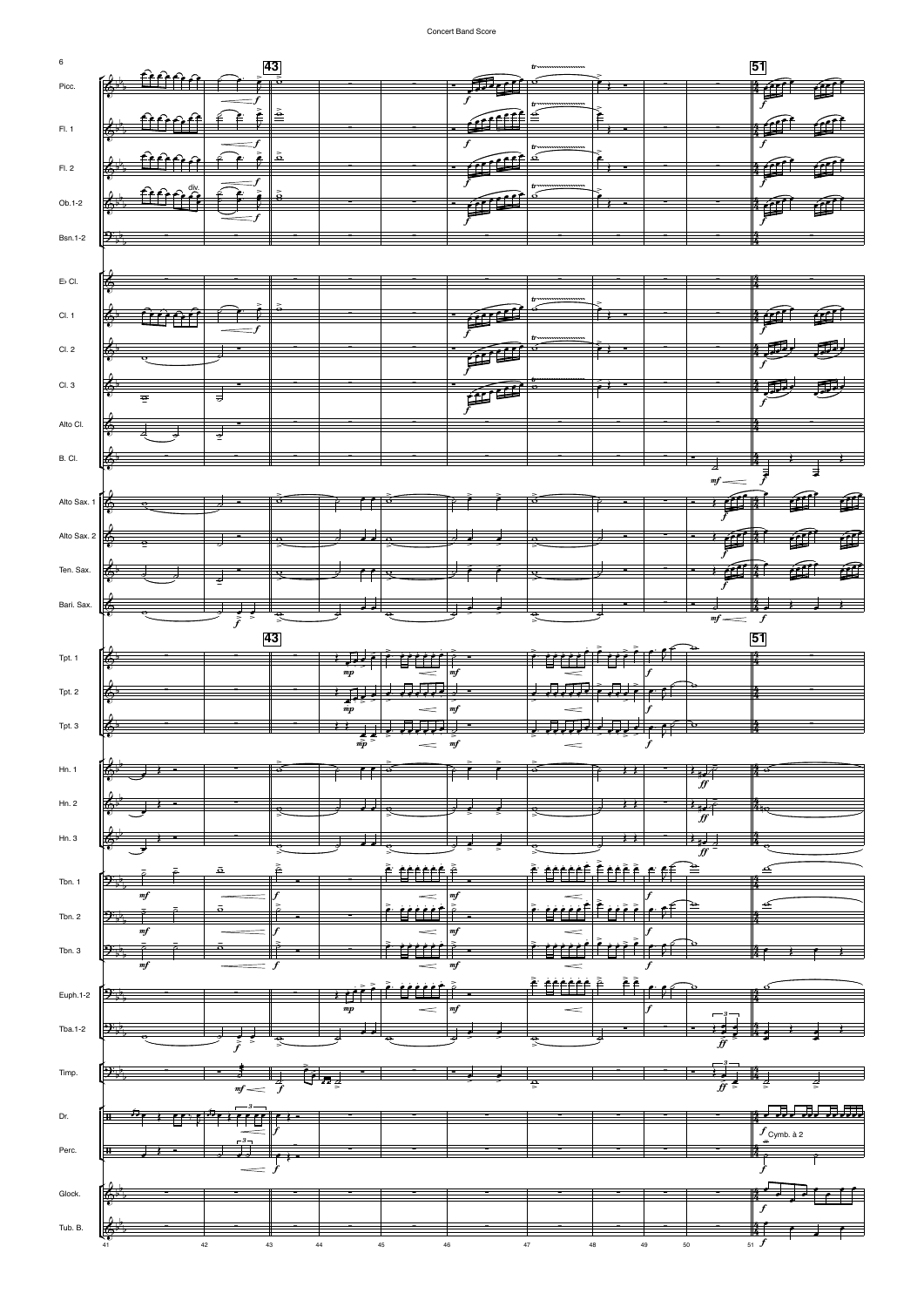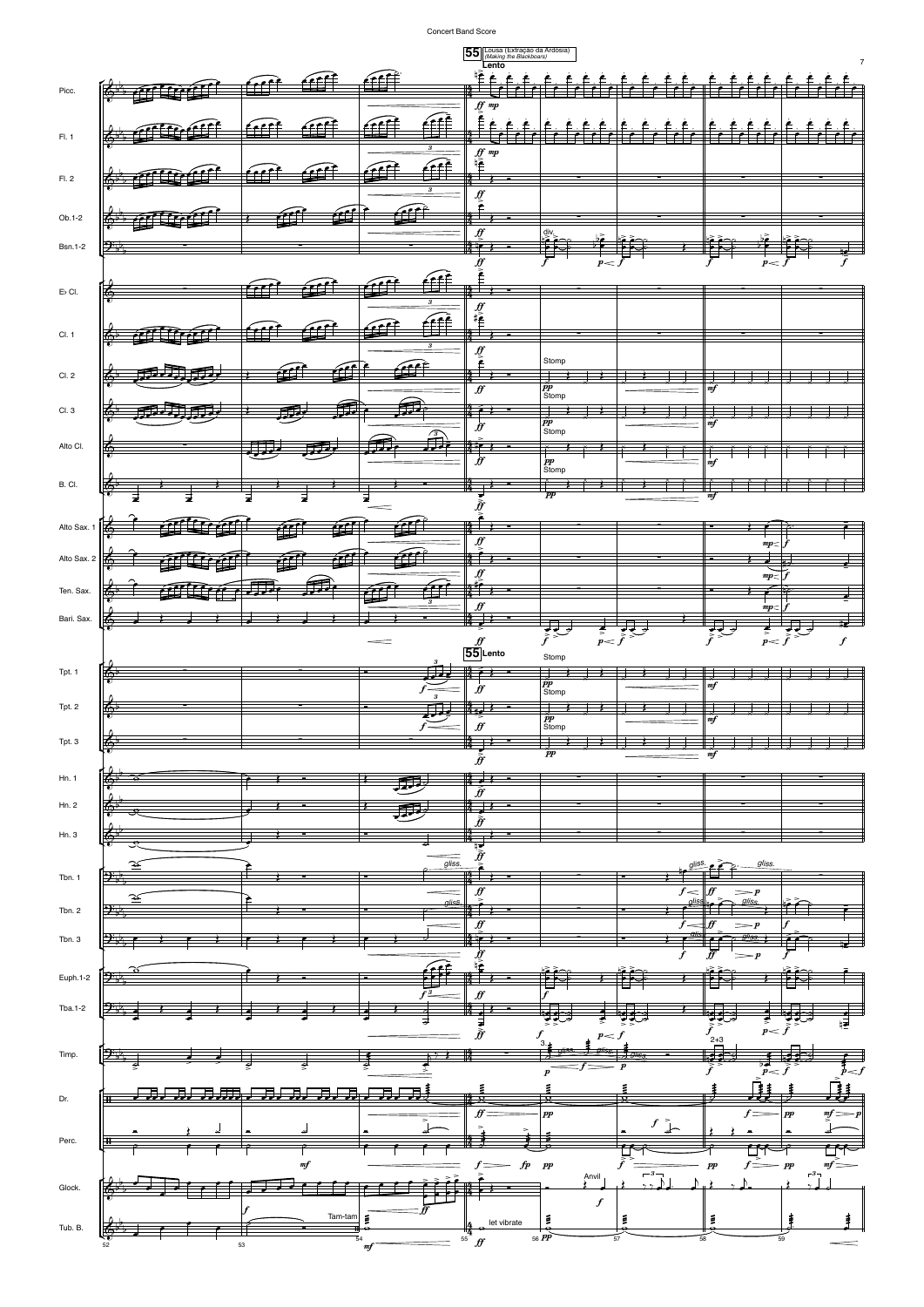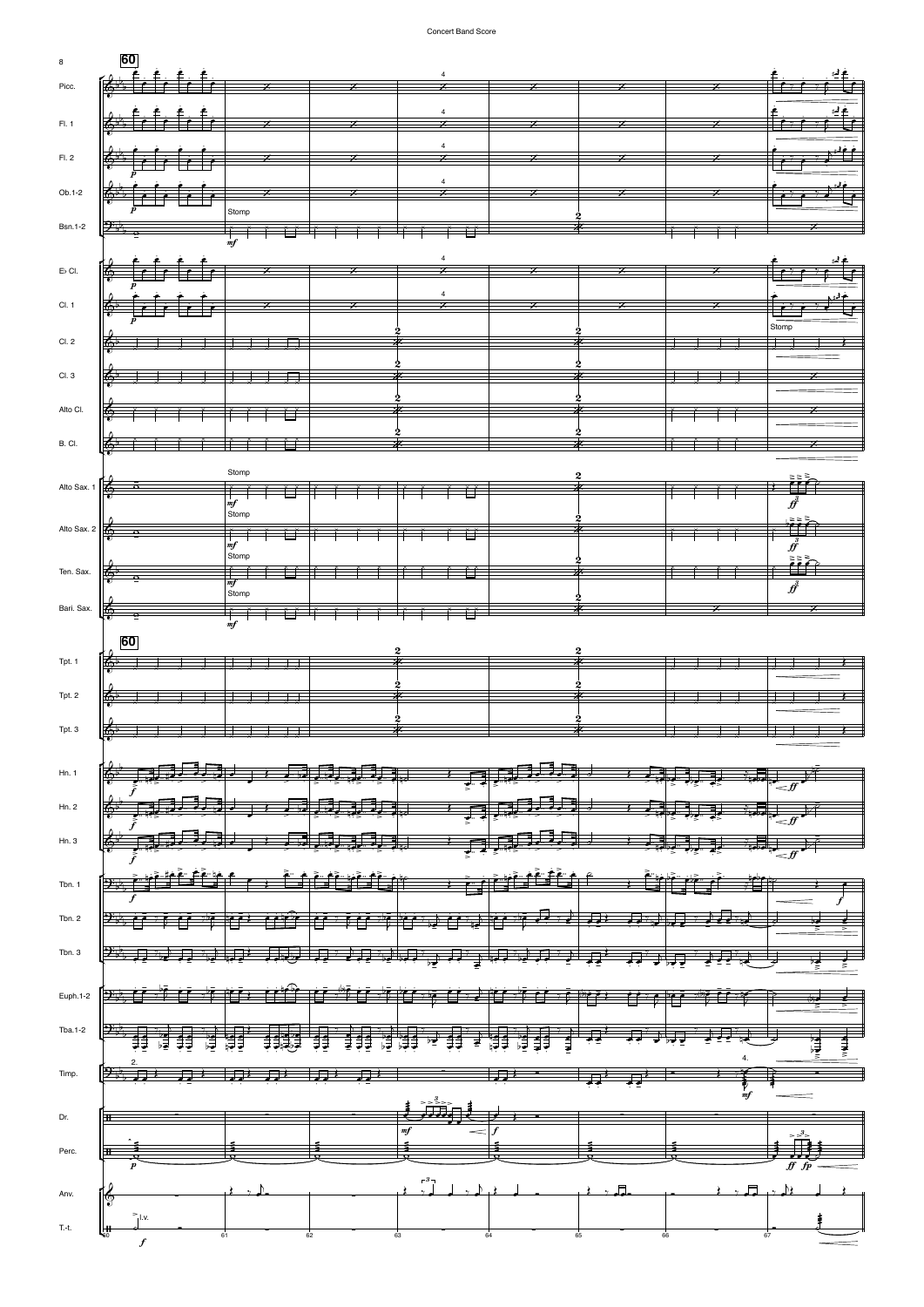

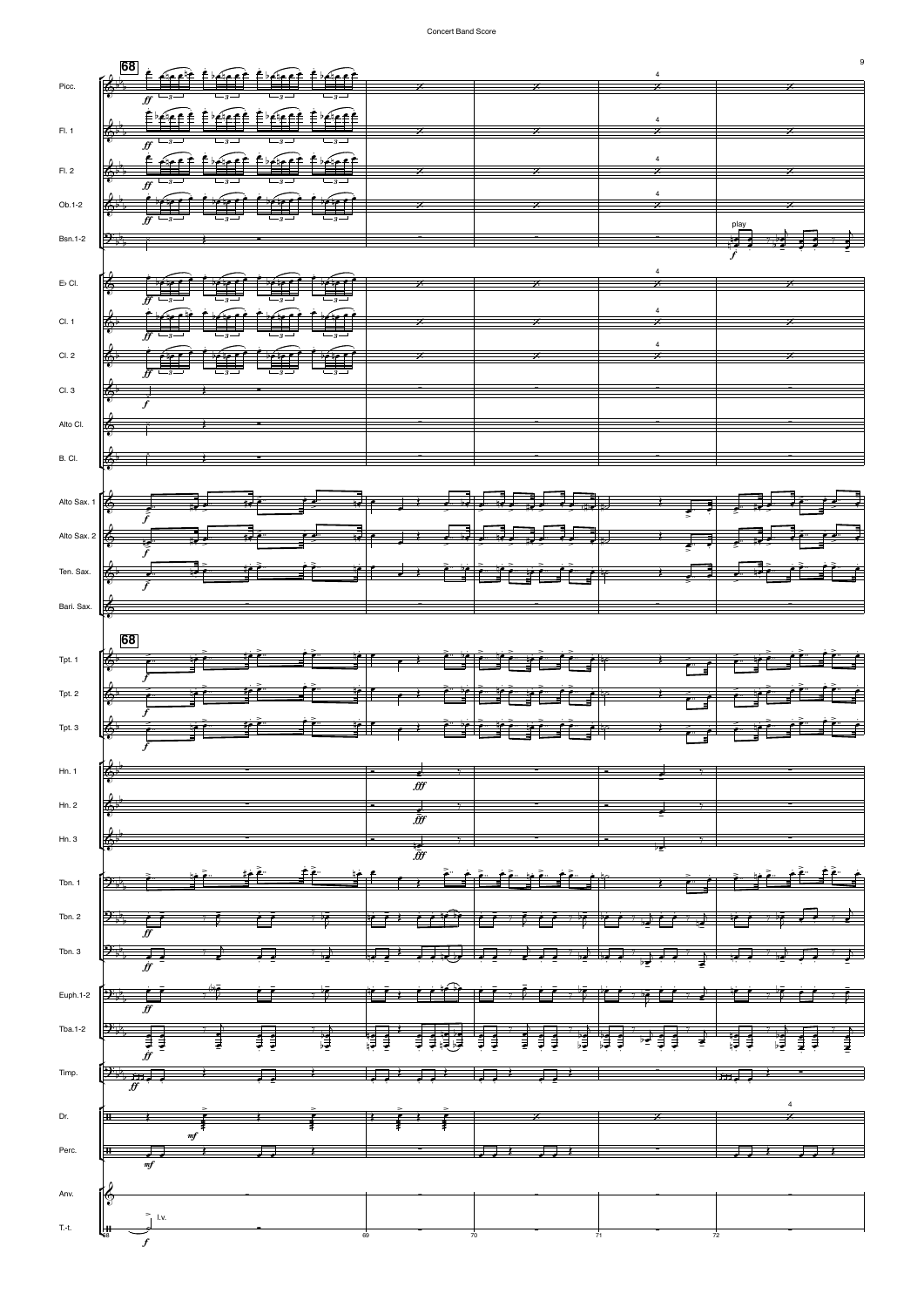

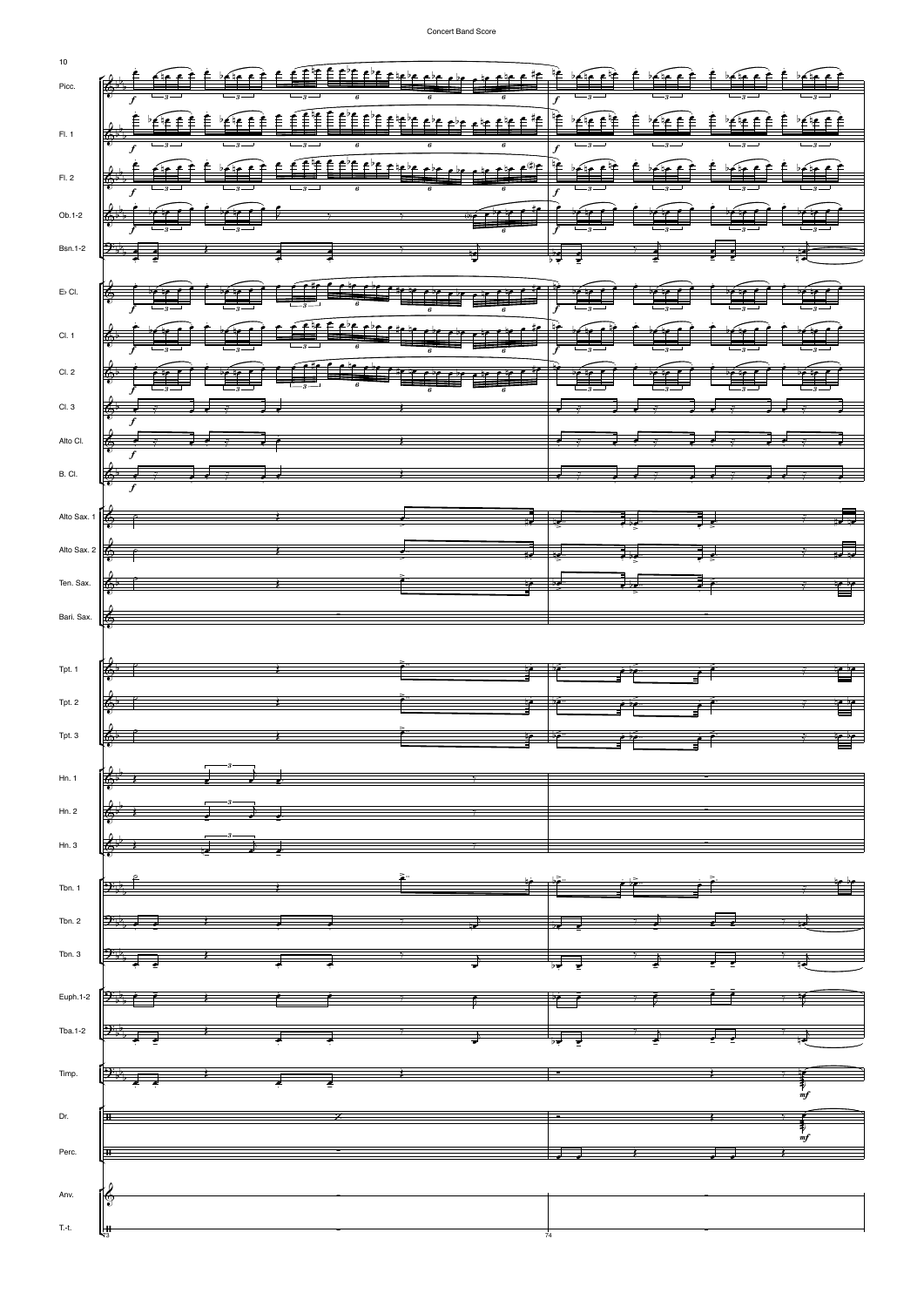

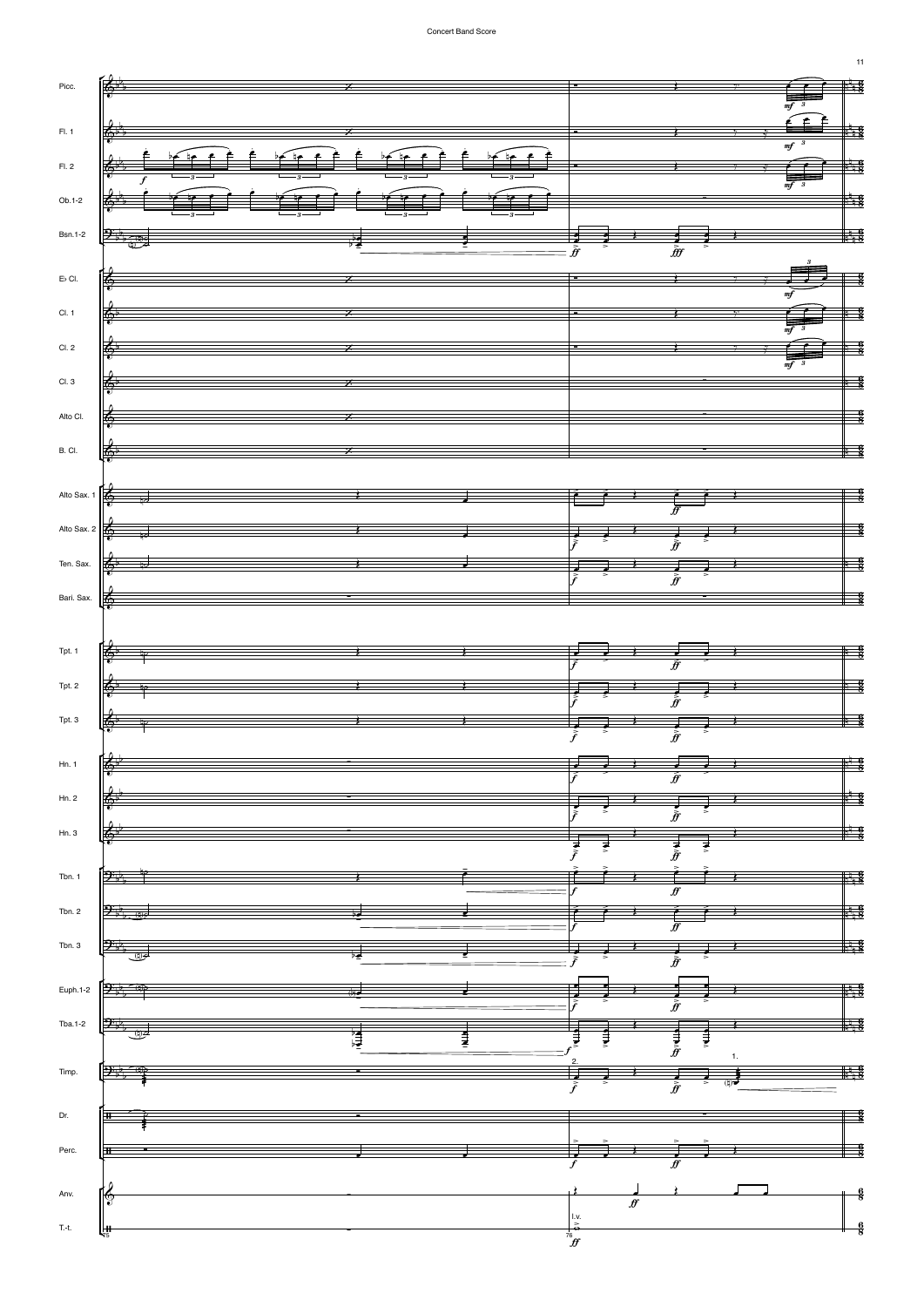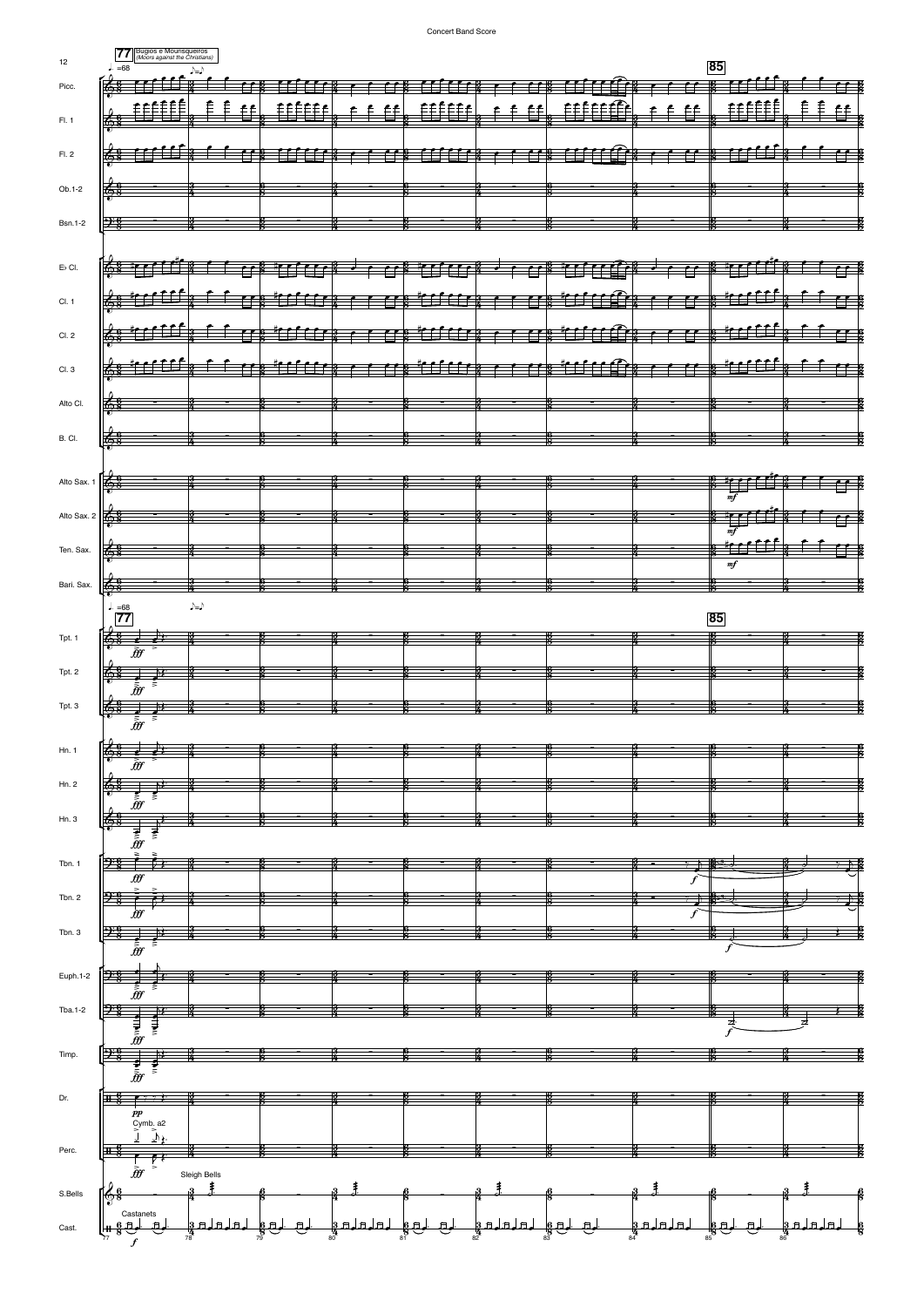![](_page_11_Figure_1.jpeg)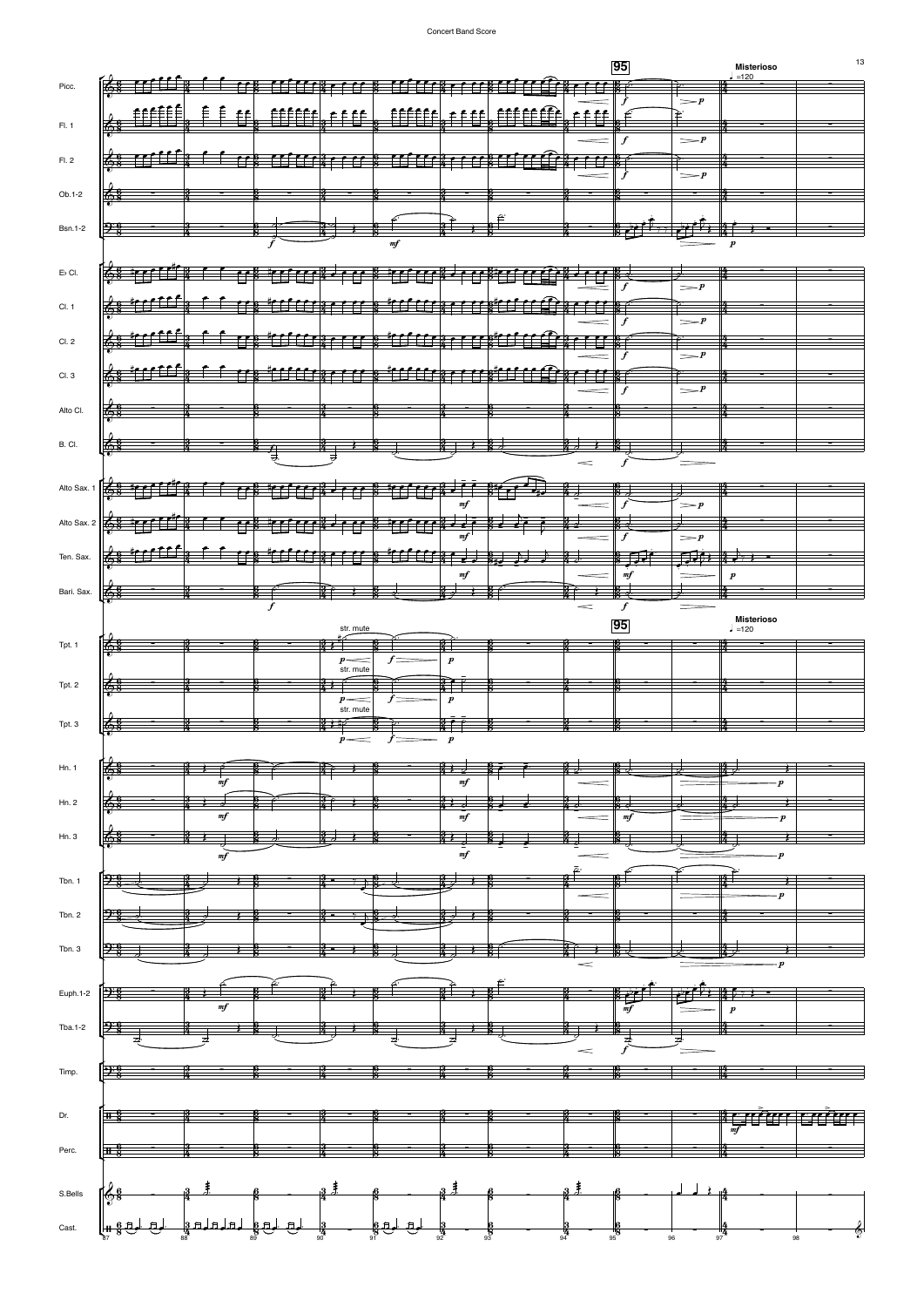$\sqrt{2a}$ <u>. خو.</u> . .

![](_page_12_Figure_4.jpeg)

![](_page_12_Figure_1.jpeg)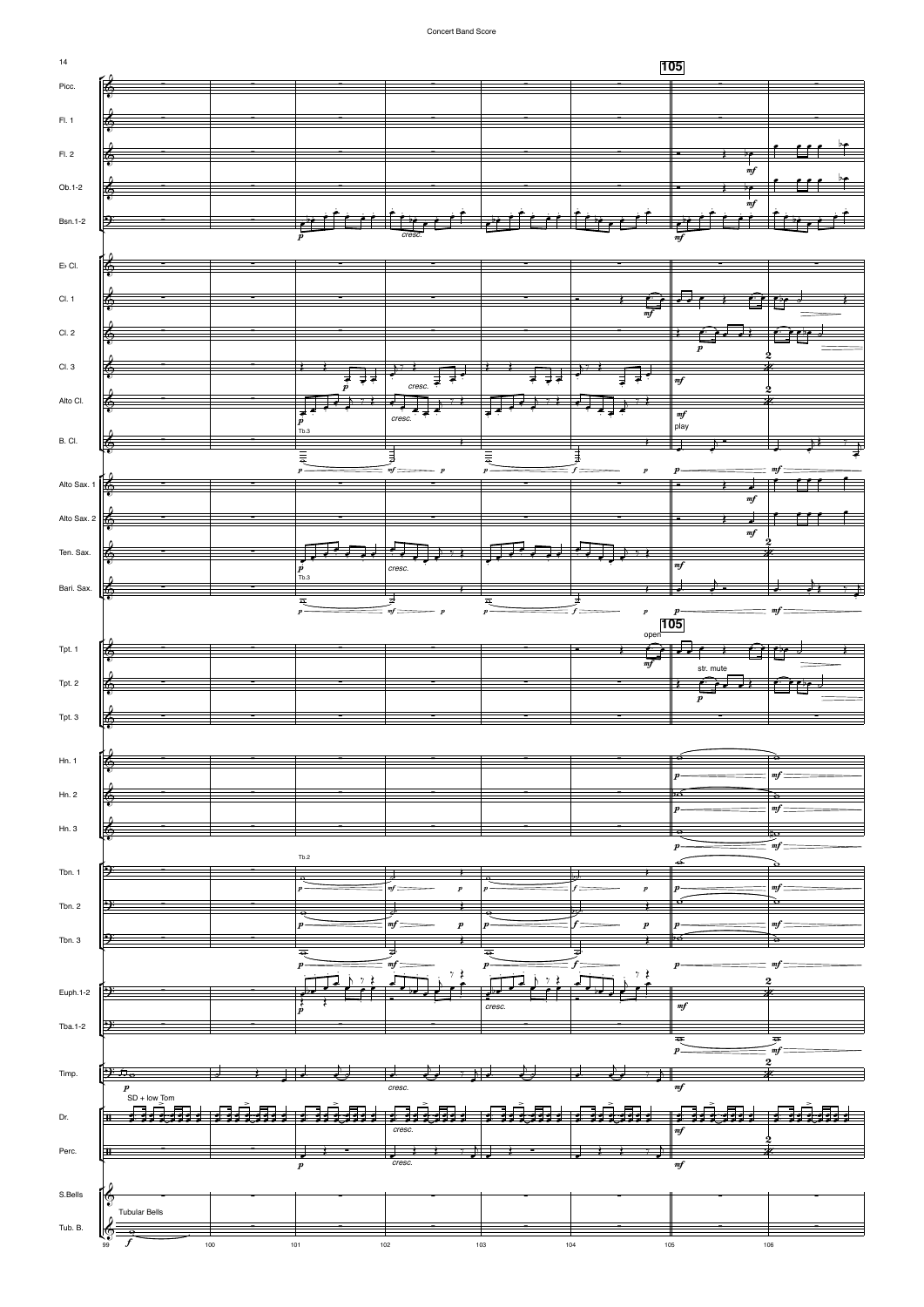![](_page_13_Figure_1.jpeg)

![](_page_13_Figure_3.jpeg)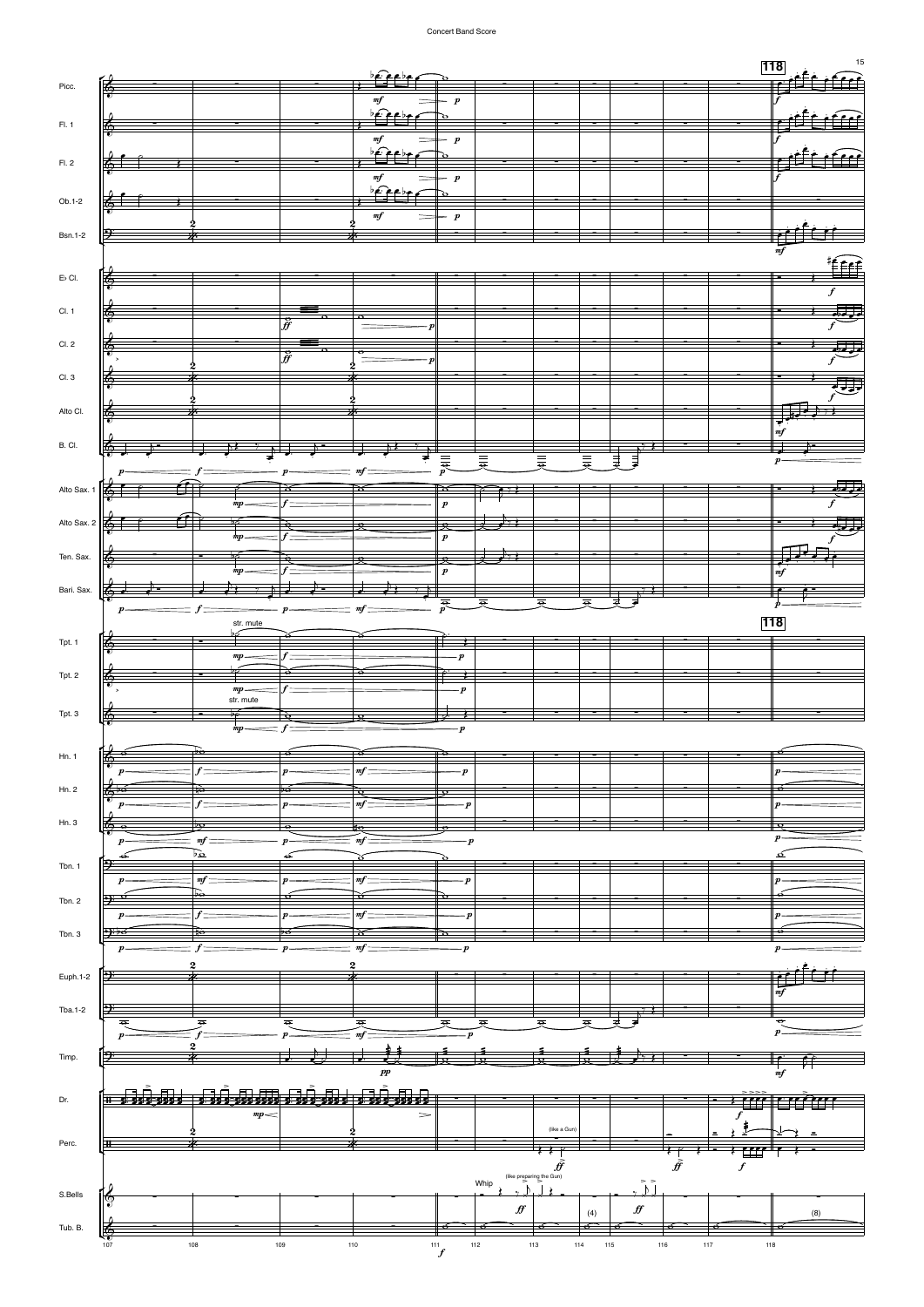![](_page_14_Figure_2.jpeg)

![](_page_14_Figure_1.jpeg)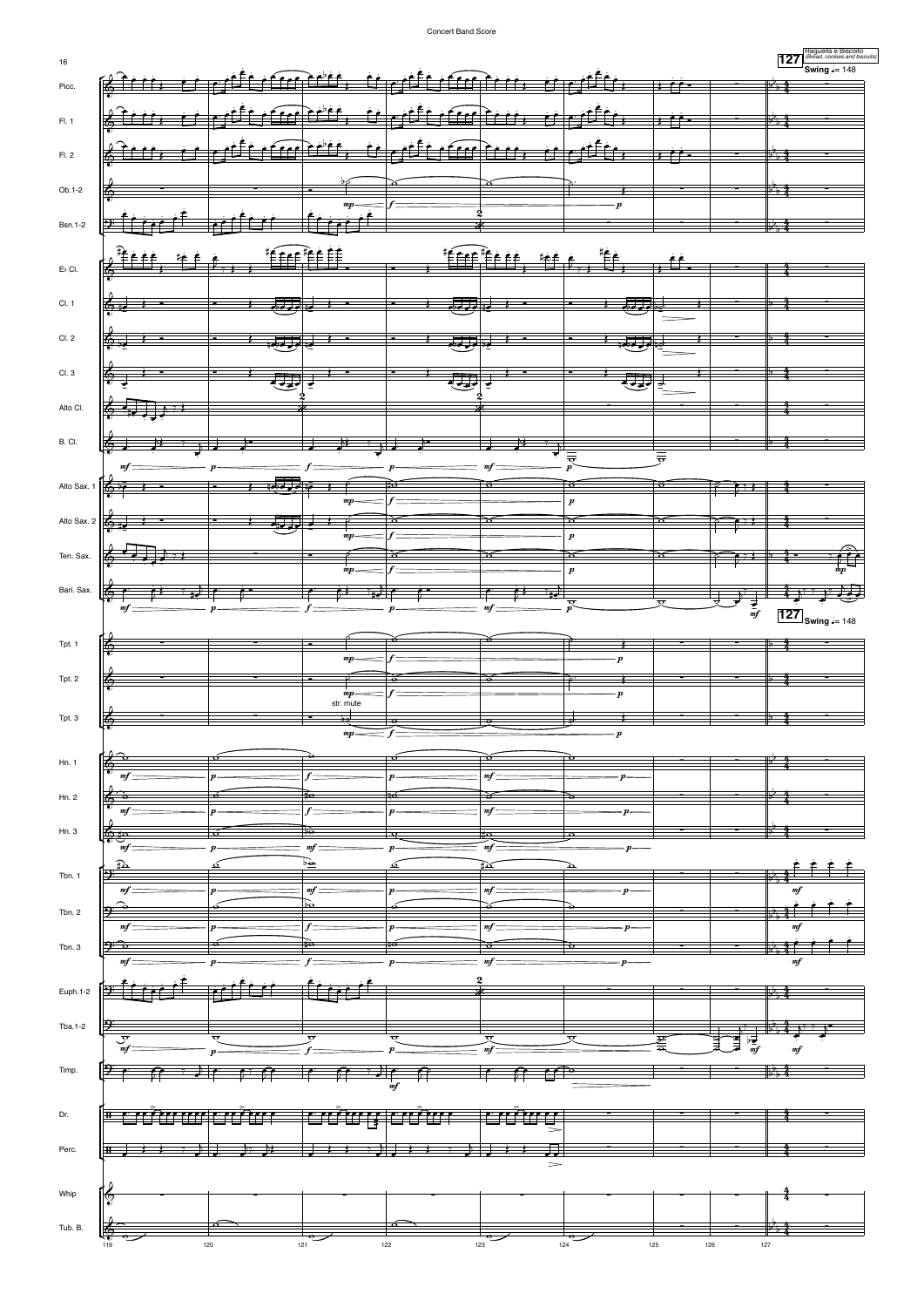$\left| \cdot \right|$   $\left| \cdot \right|$   $\left| \cdot \right|$   $\left| \cdot \right|$   $\left| \cdot \right|$ .<br>. . . . . <del>.</del> .<br>.<br>.<br>.<br>.<br>.<br>.<br>.<br>. 2 œ œ œ œ œ œ œ œ <sup>œ</sup> <sup>œ</sup> <sup>œ</sup> œ œ œ

![](_page_15_Figure_4.jpeg)

![](_page_15_Figure_1.jpeg)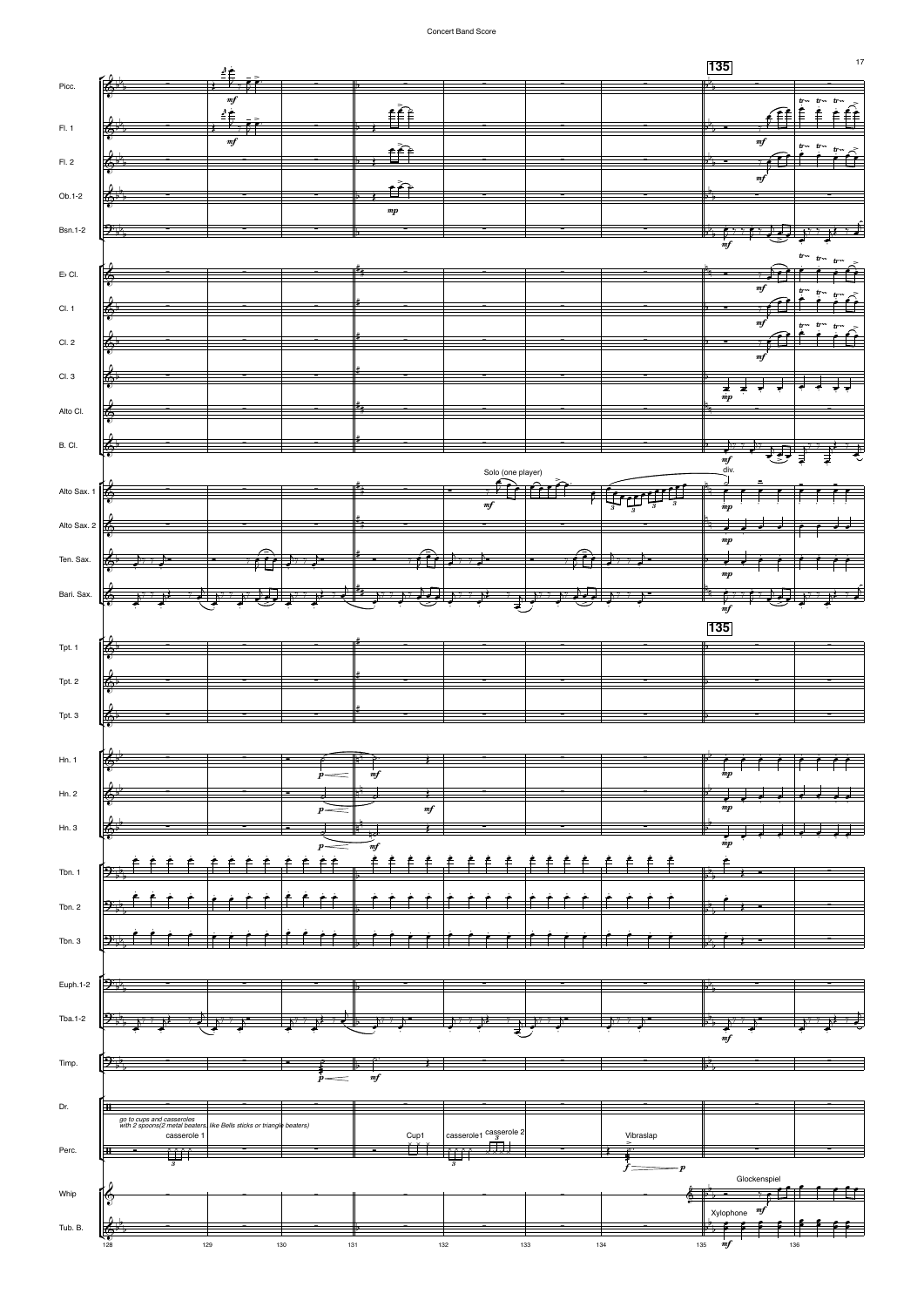![](_page_16_Figure_3.jpeg)

![](_page_16_Figure_1.jpeg)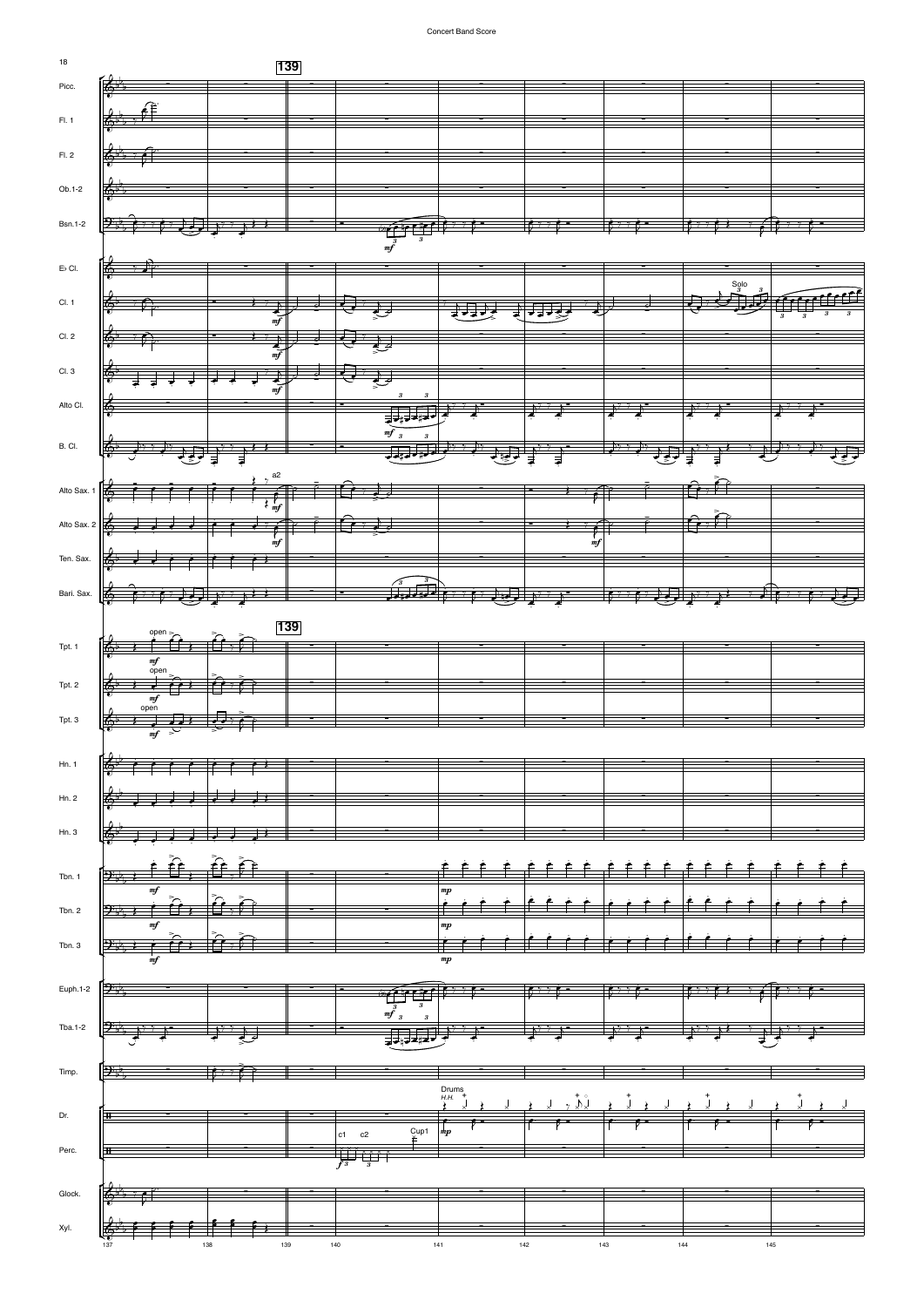![](_page_17_Figure_1.jpeg)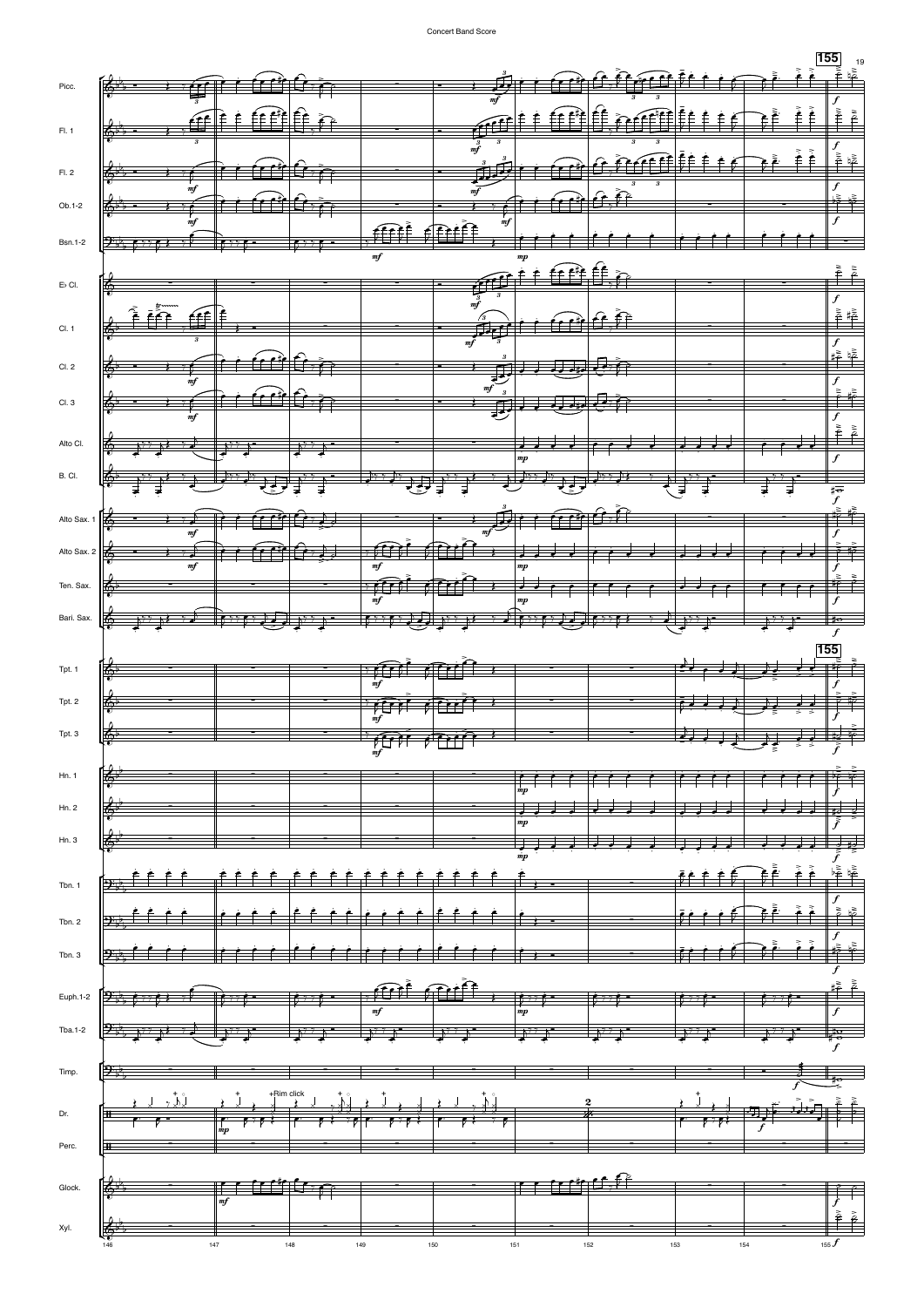![](_page_18_Figure_3.jpeg)

![](_page_18_Figure_1.jpeg)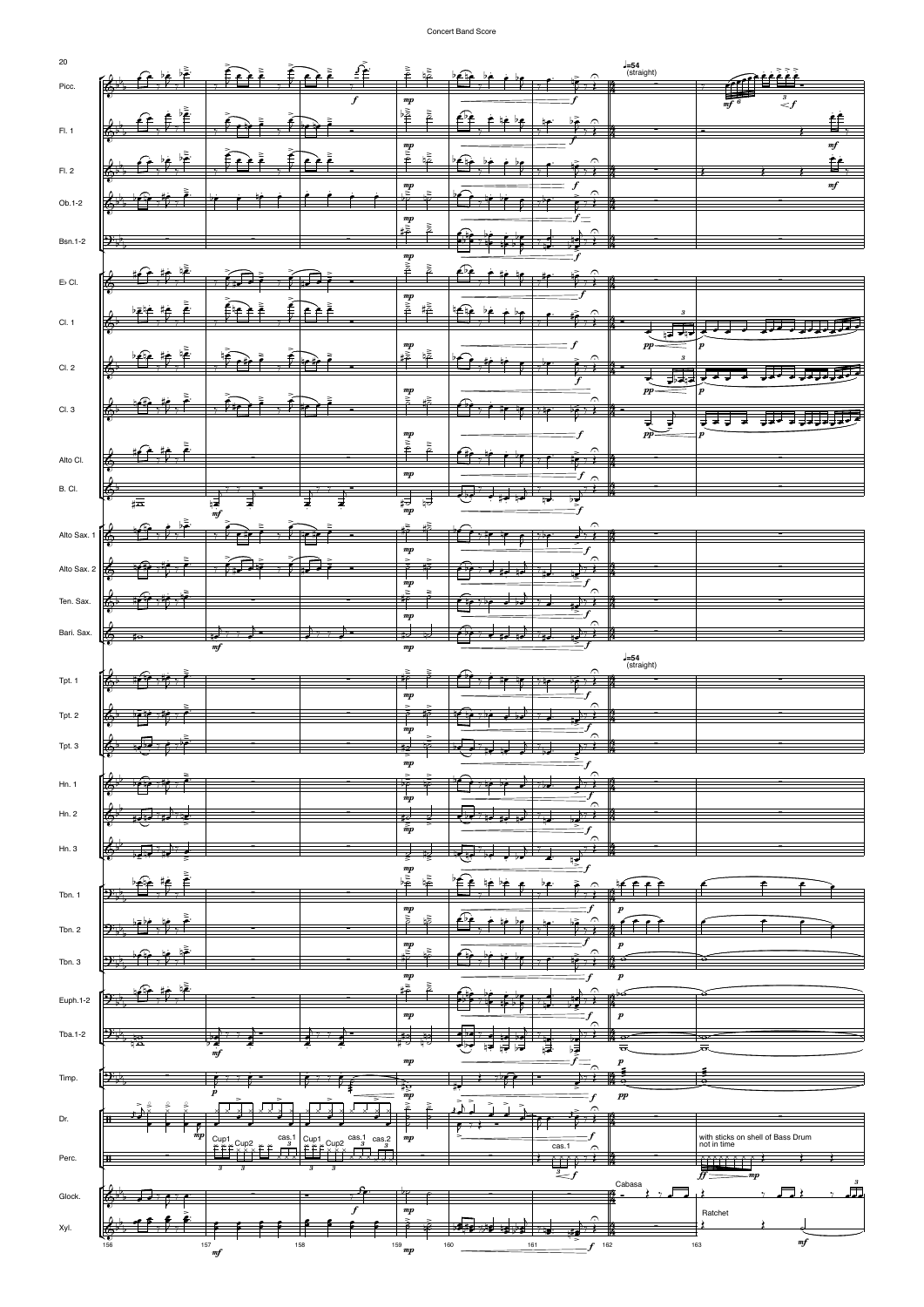![](_page_19_Figure_2.jpeg)

| 20             |                                                                                                                         |                                                                                   |                  | $\sum_{i=1}^{n}$                                                                              |                                                                                                                                                                                                                                                                                                                                                                                                                              | $J=54$<br>(straight)                                                              |                                          |
|----------------|-------------------------------------------------------------------------------------------------------------------------|-----------------------------------------------------------------------------------|------------------|-----------------------------------------------------------------------------------------------|------------------------------------------------------------------------------------------------------------------------------------------------------------------------------------------------------------------------------------------------------------------------------------------------------------------------------------------------------------------------------------------------------------------------------|-----------------------------------------------------------------------------------|------------------------------------------|
| Picc.          | $f \circ \frac{b \circ b}{b}$                                                                                           | $\frac{1}{2}$                                                                     | $\frac{1}{2}$    | $\sum_{i=1}^{n}$<br>$\frac{1}{2}$                                                             | b                                                                                                                                                                                                                                                                                                                                                                                                                            |                                                                                   |                                          |
|                |                                                                                                                         |                                                                                   | $\boldsymbol{f}$ | $\boldsymbol{m}\boldsymbol{p}$                                                                |                                                                                                                                                                                                                                                                                                                                                                                                                              |                                                                                   | $\frac{s}{< f}$<br>$\overline{mf}$ 6     |
|                | $\begin{array}{ccc}\n\bullet & \bullet & \flat & \bullet \\ \hline\n\bullet & \bullet & \bullet \\ \hline\n\end{array}$ |                                                                                   |                  | $b_{\frac{1}{2}}$<br>$\sum_{i=1}^{n}$                                                         | ≜¢ع                                                                                                                                                                                                                                                                                                                                                                                                                          |                                                                                   |                                          |
| FL.1           |                                                                                                                         |                                                                                   |                  |                                                                                               |                                                                                                                                                                                                                                                                                                                                                                                                                              | $\frac{\frac{1}{2} \frac{1}{2} \frac{1}{2}}{\frac{1}{2} \frac{1}{2} \frac{1}{2}}$ | ÉÊ                                       |
|                |                                                                                                                         |                                                                                   |                  | $\begin{array}{c}\n m p \\  \geq \\  \neq \\  \end{array}$                                    |                                                                                                                                                                                                                                                                                                                                                                                                                              |                                                                                   | $m\!f$                                   |
|                | $b\tilde{P}$                                                                                                            | FE                                                                                | €                | $\natural \tilde{=}$                                                                          | $\mathbb{P}$                                                                                                                                                                                                                                                                                                                                                                                                                 |                                                                                   | ÊĹ,                                      |
| Fl. 2          |                                                                                                                         |                                                                                   |                  |                                                                                               |                                                                                                                                                                                                                                                                                                                                                                                                                              |                                                                                   | $\it mf$                                 |
|                |                                                                                                                         |                                                                                   |                  | $\mathop{m p}\limits_{1\leq i \leq n}$                                                        |                                                                                                                                                                                                                                                                                                                                                                                                                              |                                                                                   |                                          |
| Ob.1-2         | $\frac{1}{2}$ $\frac{1}{2}$ $\frac{1}{2}$ $\frac{1}{2}$ $\frac{1}{2}$ $\frac{1}{2}$ $\frac{1}{2}$                       |                                                                                   |                  |                                                                                               |                                                                                                                                                                                                                                                                                                                                                                                                                              | R 7 3                                                                             |                                          |
|                |                                                                                                                         |                                                                                   |                  | $\begin{array}{c}\nmp \\ \hline\n\frac{1}{2} \\ \hline\n\end{array}$<br>$\frac{8}{5}$         |                                                                                                                                                                                                                                                                                                                                                                                                                              | ⌒                                                                                 |                                          |
| <b>Bsn.1-2</b> | $\mathbf{P}_{\mathbf{p}_b}$                                                                                             |                                                                                   |                  |                                                                                               | $\frac{1}{2}$                                                                                                                                                                                                                                                                                                                                                                                                                |                                                                                   |                                          |
|                |                                                                                                                         |                                                                                   |                  | $\begin{array}{c}\n m p \\  \geq \\  \neq\n \end{array}$                                      |                                                                                                                                                                                                                                                                                                                                                                                                                              |                                                                                   |                                          |
|                |                                                                                                                         |                                                                                   |                  |                                                                                               |                                                                                                                                                                                                                                                                                                                                                                                                                              | $\mathcal{F} \rightarrow \mathcal{F}$                                             |                                          |
| $E\flat$ Cl.   |                                                                                                                         |                                                                                   |                  |                                                                                               |                                                                                                                                                                                                                                                                                                                                                                                                                              |                                                                                   |                                          |
|                |                                                                                                                         |                                                                                   |                  | $\frac{mp}{\tilde{p}}$<br>‡≩                                                                  | 单单<br>$\frac{b}{\pm}$                                                                                                                                                                                                                                                                                                                                                                                                        |                                                                                   |                                          |
| Cl. 1          |                                                                                                                         | 迮                                                                                 |                  |                                                                                               |                                                                                                                                                                                                                                                                                                                                                                                                                              | $\sqrt[4]{\frac{1}{2} \cdot \frac{1}{4}}$                                         |                                          |
|                |                                                                                                                         |                                                                                   |                  |                                                                                               |                                                                                                                                                                                                                                                                                                                                                                                                                              | $\frac{1}{2}$ and                                                                 |                                          |
|                | $rac{1}{\sqrt{1-\frac{1}{2}}}\frac{1}{\sqrt{1-\frac{1}{2}}}$                                                            | $\frac{1}{2}$<br>$\tilde{=}$                                                      |                  | $\frac{mp}{\frac{1}{2}}$<br>$\natural \tilde{P}$                                              |                                                                                                                                                                                                                                                                                                                                                                                                                              | $pp=$                                                                             |                                          |
| Cl. 2          |                                                                                                                         |                                                                                   |                  |                                                                                               |                                                                                                                                                                                                                                                                                                                                                                                                                              | 57                                                                                |                                          |
|                |                                                                                                                         |                                                                                   |                  |                                                                                               |                                                                                                                                                                                                                                                                                                                                                                                                                              | $\frac{1}{\sqrt{2}}$<br>$pp =$                                                    |                                          |
|                |                                                                                                                         |                                                                                   |                  | $\frac{mp}{\epsilon}$                                                                         | $\bullet$ )e                                                                                                                                                                                                                                                                                                                                                                                                                 |                                                                                   | $\boldsymbol{p}$                         |
| Cl. 3          |                                                                                                                         |                                                                                   |                  |                                                                                               |                                                                                                                                                                                                                                                                                                                                                                                                                              | ्<br>ᢖ                                                                            | <del>रिकार</del><br>$\overrightarrow{v}$ |
|                |                                                                                                                         |                                                                                   |                  |                                                                                               |                                                                                                                                                                                                                                                                                                                                                                                                                              | pp                                                                                |                                          |
|                |                                                                                                                         |                                                                                   |                  | $\begin{array}{c}\n m p \\  \geq \\  \stackrel{=}{\leftarrow}\n \end{array}$<br>$\frac{8}{5}$ |                                                                                                                                                                                                                                                                                                                                                                                                                              |                                                                                   |                                          |
| Alto Cl.       |                                                                                                                         |                                                                                   |                  |                                                                                               |                                                                                                                                                                                                                                                                                                                                                                                                                              | 据テキ                                                                               |                                          |
|                |                                                                                                                         |                                                                                   |                  | $\sqrt{np}$                                                                                   |                                                                                                                                                                                                                                                                                                                                                                                                                              | $f_{\vert \bigtriangleup}$                                                        |                                          |
| B.CI.          | €                                                                                                                       |                                                                                   |                  |                                                                                               | ार•                                                                                                                                                                                                                                                                                                                                                                                                                          |                                                                                   |                                          |
|                | $\frac{1}{\sharp\overline{\bullet}}$                                                                                    | $\begin{array}{c}\n\downarrow \\ \downarrow \\ \uparrow \\ \uparrow\n\end{array}$ |                  | मव्व                                                                                          | $\frac{1}{2}$                                                                                                                                                                                                                                                                                                                                                                                                                |                                                                                   |                                          |
|                | $\mathbf{F}$                                                                                                            |                                                                                   |                  |                                                                                               |                                                                                                                                                                                                                                                                                                                                                                                                                              |                                                                                   |                                          |
| Alto Sax. 1    | $\overline{\bullet}$                                                                                                    | مزم                                                                               |                  | 辈                                                                                             | $\frac{1}{\sqrt{2}}$ $\frac{1}{\sqrt{2}}$ $\frac{1}{\sqrt{2}}$ $\frac{1}{\sqrt{2}}$ $\frac{1}{\sqrt{2}}$ $\frac{1}{\sqrt{2}}$ $\frac{1}{\sqrt{2}}$ $\frac{1}{\sqrt{2}}$ $\frac{1}{\sqrt{2}}$ $\frac{1}{\sqrt{2}}$ $\frac{1}{\sqrt{2}}$ $\frac{1}{\sqrt{2}}$ $\frac{1}{\sqrt{2}}$ $\frac{1}{\sqrt{2}}$ $\frac{1}{\sqrt{2}}$ $\frac{1}{\sqrt{2}}$ $\frac{1}{\sqrt{2}}$<br>$\overline{\phantom{a}}$<br>$\overline{\phantom{a}}$ | $\frac{1}{2}$                                                                     |                                          |
|                |                                                                                                                         |                                                                                   |                  | $\it mp$                                                                                      |                                                                                                                                                                                                                                                                                                                                                                                                                              | ⌒                                                                                 |                                          |
| Alto Sax. 2    |                                                                                                                         |                                                                                   |                  | ₽<br>ρ                                                                                        | $\frac{1}{2}$ is the set of $\frac{1}{2}$<br>$\overrightarrow{p}$                                                                                                                                                                                                                                                                                                                                                            | $\frac{1}{2}$                                                                     |                                          |
|                |                                                                                                                         |                                                                                   |                  | $\binom{mp}{2}$                                                                               |                                                                                                                                                                                                                                                                                                                                                                                                                              | ⌒                                                                                 |                                          |
| Ten. Sax.      | <u> #10, #0, #0</u>                                                                                                     |                                                                                   |                  | $\frac{1}{12}$                                                                                | $\frac{1}{2}$ $\frac{1}{2}$ $\frac{1}{2}$<br>مواد مواخ                                                                                                                                                                                                                                                                                                                                                                       | $\frac{1}{\sqrt{2}}$                                                              |                                          |
|                |                                                                                                                         |                                                                                   |                  | $\sqrt{np}$                                                                                   |                                                                                                                                                                                                                                                                                                                                                                                                                              | ⌒                                                                                 |                                          |
| Bari. Sax.     | ‡੦<br>$\circ$                                                                                                           |                                                                                   |                  | ‡ਟ                                                                                            | $\frac{1}{2}$ $\frac{1}{2}$<br>خوخ                                                                                                                                                                                                                                                                                                                                                                                           | $\frac{1}{\sqrt{2\pi}}$                                                           |                                          |
|                |                                                                                                                         | $\frac{df}{dt}$                                                                   |                  | $\it mp$                                                                                      |                                                                                                                                                                                                                                                                                                                                                                                                                              |                                                                                   |                                          |
|                |                                                                                                                         |                                                                                   |                  |                                                                                               |                                                                                                                                                                                                                                                                                                                                                                                                                              | $\frac{1}{54}$<br>(straight)<br>$\curvearrowright$                                |                                          |
| Tpt. 1         | $#$ ie , $*_5$ ,                                                                                                        |                                                                                   |                  | $\frac{1}{12}$                                                                                | ን ቀ                                                                                                                                                                                                                                                                                                                                                                                                                          | $\frac{1}{2}$                                                                     |                                          |
|                |                                                                                                                         |                                                                                   |                  | $\sqrt{np}$                                                                                   |                                                                                                                                                                                                                                                                                                                                                                                                                              | $\curvearrowright$                                                                |                                          |
| Tpt. 2         |                                                                                                                         |                                                                                   |                  | 혼                                                                                             | $\overline{\phantom{a}}$<br>40,900                                                                                                                                                                                                                                                                                                                                                                                           | $\mathbb{P}^*$                                                                    |                                          |
|                |                                                                                                                         |                                                                                   |                  | $\binom{mp}{2}$                                                                               |                                                                                                                                                                                                                                                                                                                                                                                                                              |                                                                                   |                                          |
| Tpt. 3         | $\bullet$ . 20                                                                                                          |                                                                                   |                  | ‡₫                                                                                            | $\overline{\phantom{a}}$                                                                                                                                                                                                                                                                                                                                                                                                     |                                                                                   |                                          |
|                |                                                                                                                         |                                                                                   |                  | $\geq$<br>$\mathbf{m}\mathbf{p}$                                                              |                                                                                                                                                                                                                                                                                                                                                                                                                              |                                                                                   |                                          |
| Hn. 1          | $50 -$                                                                                                                  |                                                                                   |                  | $\frac{1}{2p}$                                                                                | $\rightarrow$ $\rightarrow$<br>$\frac{1}{2}$<br>$\overline{\mathcal{P}}$                                                                                                                                                                                                                                                                                                                                                     | $\cap$<br>$\rightarrow$                                                           |                                          |
|                |                                                                                                                         |                                                                                   |                  | $\frac{1}{2}$                                                                                 |                                                                                                                                                                                                                                                                                                                                                                                                                              |                                                                                   |                                          |
| Hn. 2          |                                                                                                                         |                                                                                   |                  |                                                                                               |                                                                                                                                                                                                                                                                                                                                                                                                                              | $\curvearrowright$                                                                |                                          |
|                |                                                                                                                         |                                                                                   |                  | $\frac{1}{\sum\limits_{m p} }$                                                                |                                                                                                                                                                                                                                                                                                                                                                                                                              | $\frac{\frac{1}{\sqrt{1-\frac{1}{2}}}}{\frac{1}{2}r}$                             |                                          |
| Hn. 3          |                                                                                                                         |                                                                                   |                  |                                                                                               |                                                                                                                                                                                                                                                                                                                                                                                                                              | $\curvearrowright$                                                                |                                          |
|                |                                                                                                                         |                                                                                   |                  | $\frac{1}{2}$                                                                                 | पट्ट                                                                                                                                                                                                                                                                                                                                                                                                                         |                                                                                   |                                          |
|                |                                                                                                                         |                                                                                   |                  | $\mathbb{Z}_{\geq \frac{1}{2}}^{mp}$<br>悼                                                     |                                                                                                                                                                                                                                                                                                                                                                                                                              |                                                                                   |                                          |
| Tbn. 1         | 蜂节<br>$\mathbf{\mathcal{P}}_{\flat_b}$                                                                                  |                                                                                   |                  |                                                                                               | $\frac{b \neq \lambda}{\lambda}$                                                                                                                                                                                                                                                                                                                                                                                             | $\tilde{\bar{t}}$ , $\hat{\Omega}$<br><u>Vé f e</u>                               |                                          |
|                |                                                                                                                         |                                                                                   |                  |                                                                                               |                                                                                                                                                                                                                                                                                                                                                                                                                              |                                                                                   |                                          |
|                |                                                                                                                         |                                                                                   |                  | $\frac{mp}{2}$                                                                                | $\widehat{\mathbb{P}^e}$                                                                                                                                                                                                                                                                                                                                                                                                     | $\frac{\frac{1}{2}}{\frac{1}{2}}$                                                 |                                          |
| Tbn. 2         | $\mathbf{\mathcal{P}}$                                                                                                  |                                                                                   |                  |                                                                                               |                                                                                                                                                                                                                                                                                                                                                                                                                              |                                                                                   |                                          |
|                | $\frac{1}{2}$<br>$\frac{1}{2}$                                                                                          |                                                                                   |                  | $\frac{mp}{\frac{1}{2}}$                                                                      | $\widehat{\mathbf{r}}$<br>$\frac{b}{c}$ is be $\frac{c}{c}$                                                                                                                                                                                                                                                                                                                                                                  | $\boldsymbol{p}$<br>$\Omega$                                                      | ö                                        |
| Tbn. 3         | $\mathbf{\mathcal{P}}_{\mathbb{P}^1}$                                                                                   |                                                                                   |                  | mp                                                                                            |                                                                                                                                                                                                                                                                                                                                                                                                                              | $\frac{1}{2}$<br>$\frac{46}{4}$<br>$\boldsymbol{p}$                               |                                          |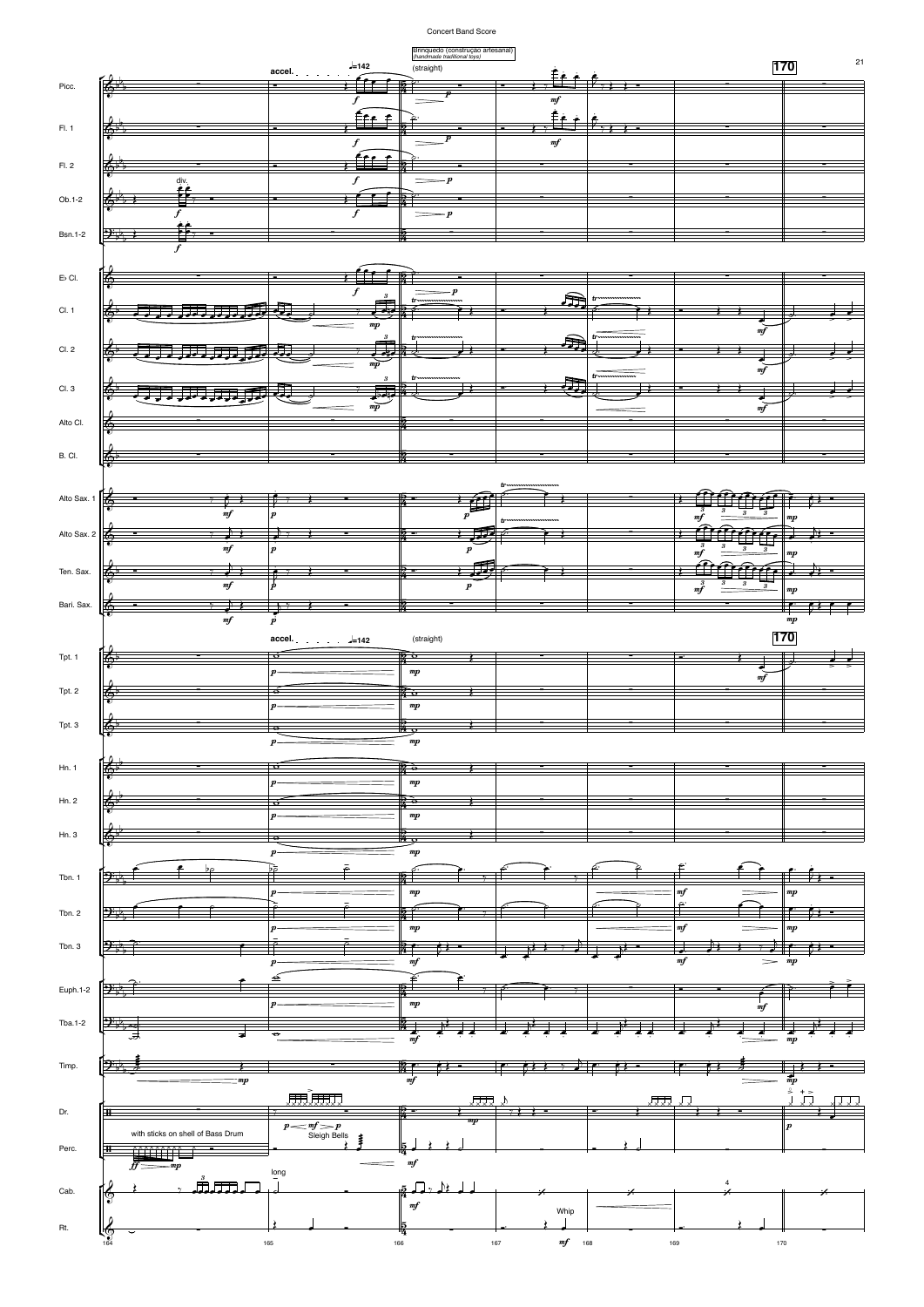![](_page_20_Figure_1.jpeg)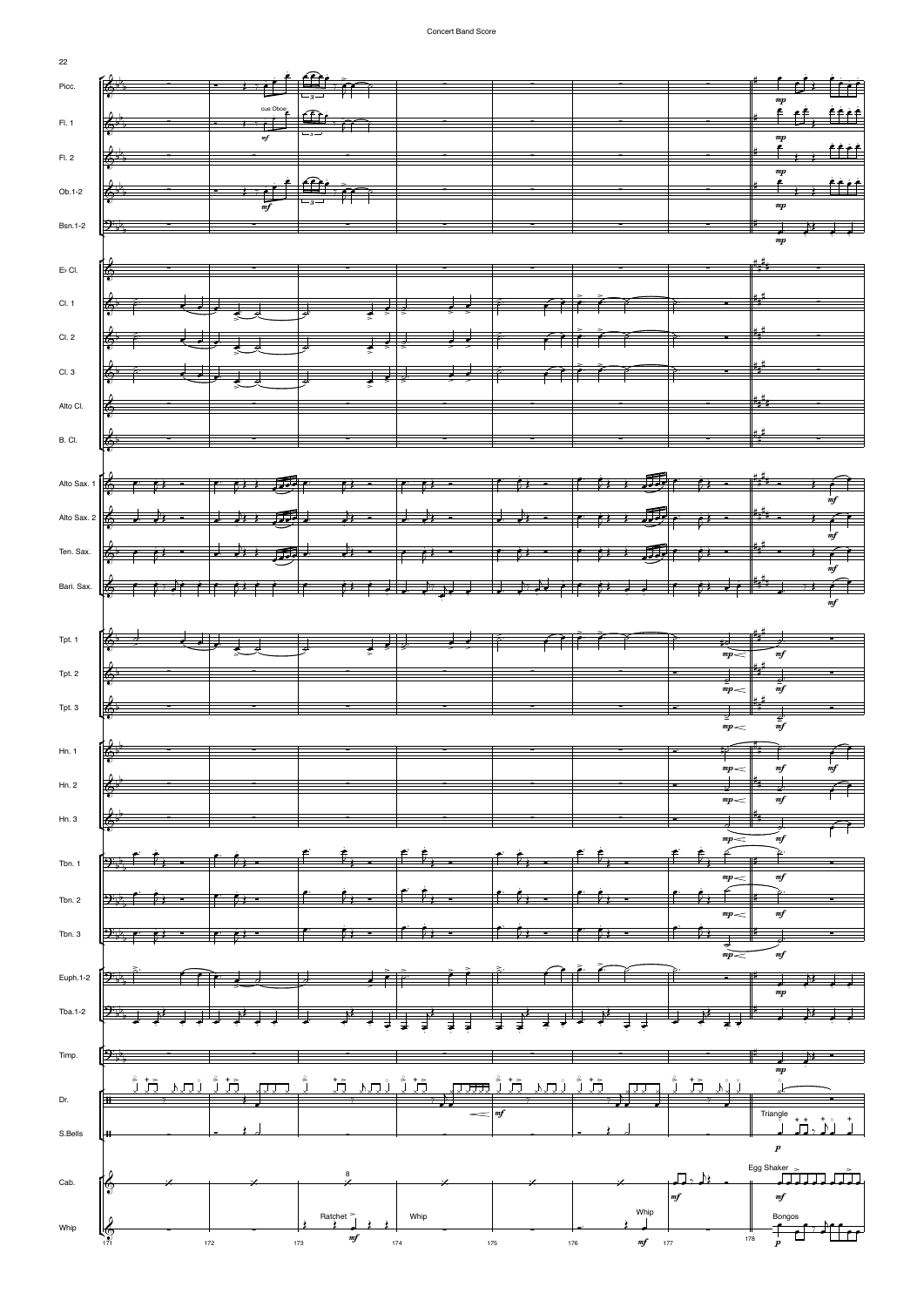![](_page_21_Figure_1.jpeg)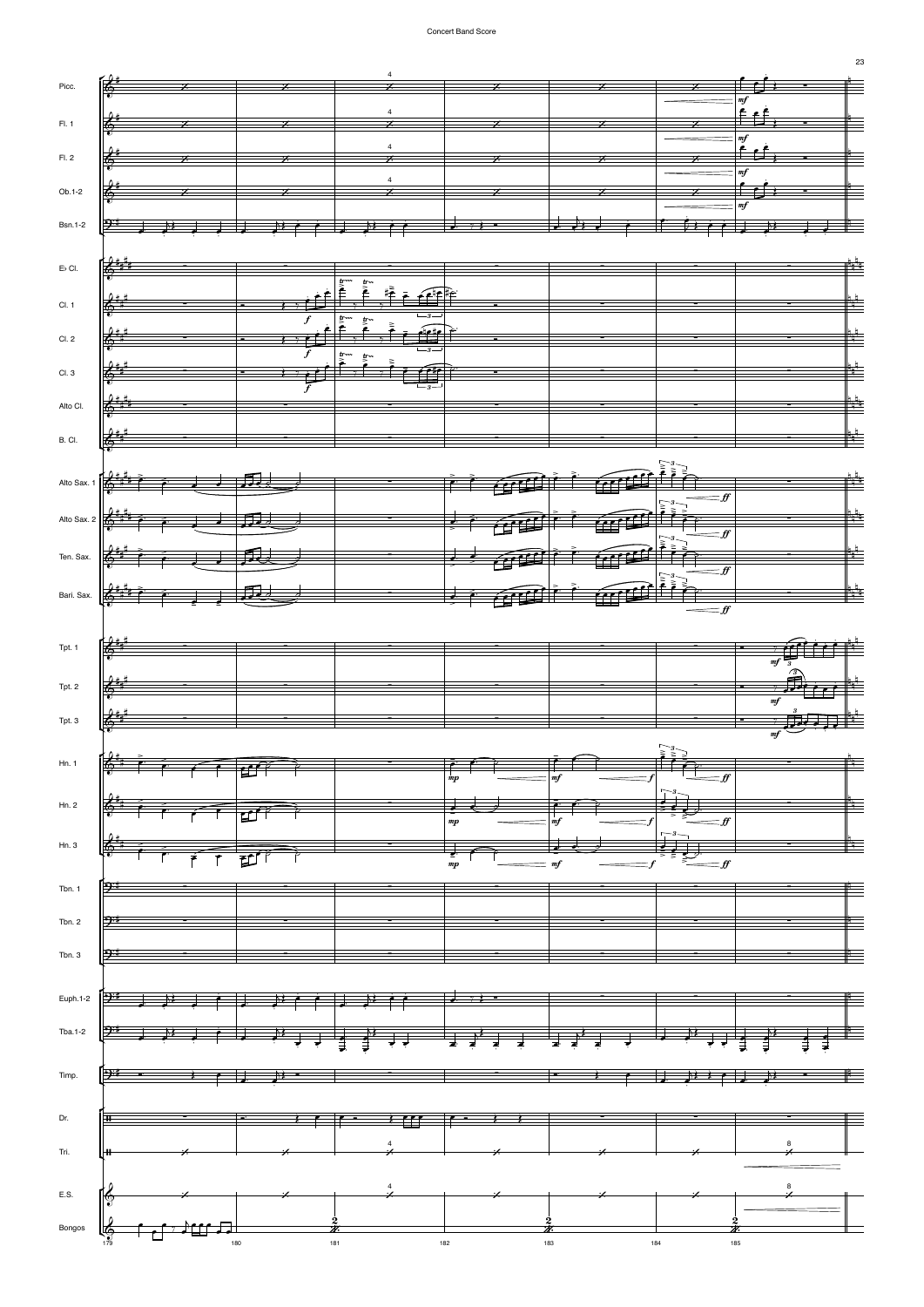![](_page_22_Figure_1.jpeg)

![](_page_22_Figure_3.jpeg)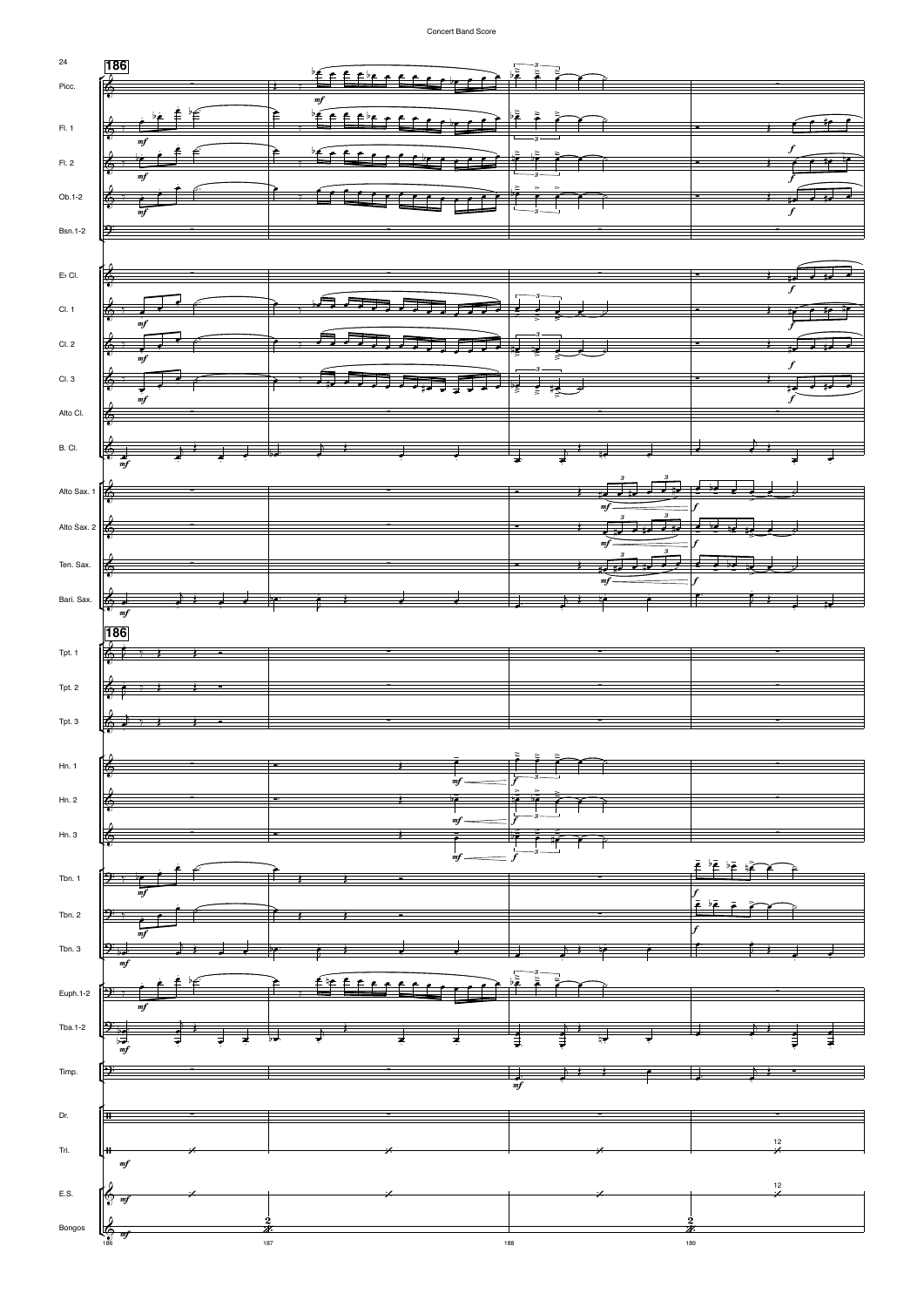![](_page_23_Figure_1.jpeg)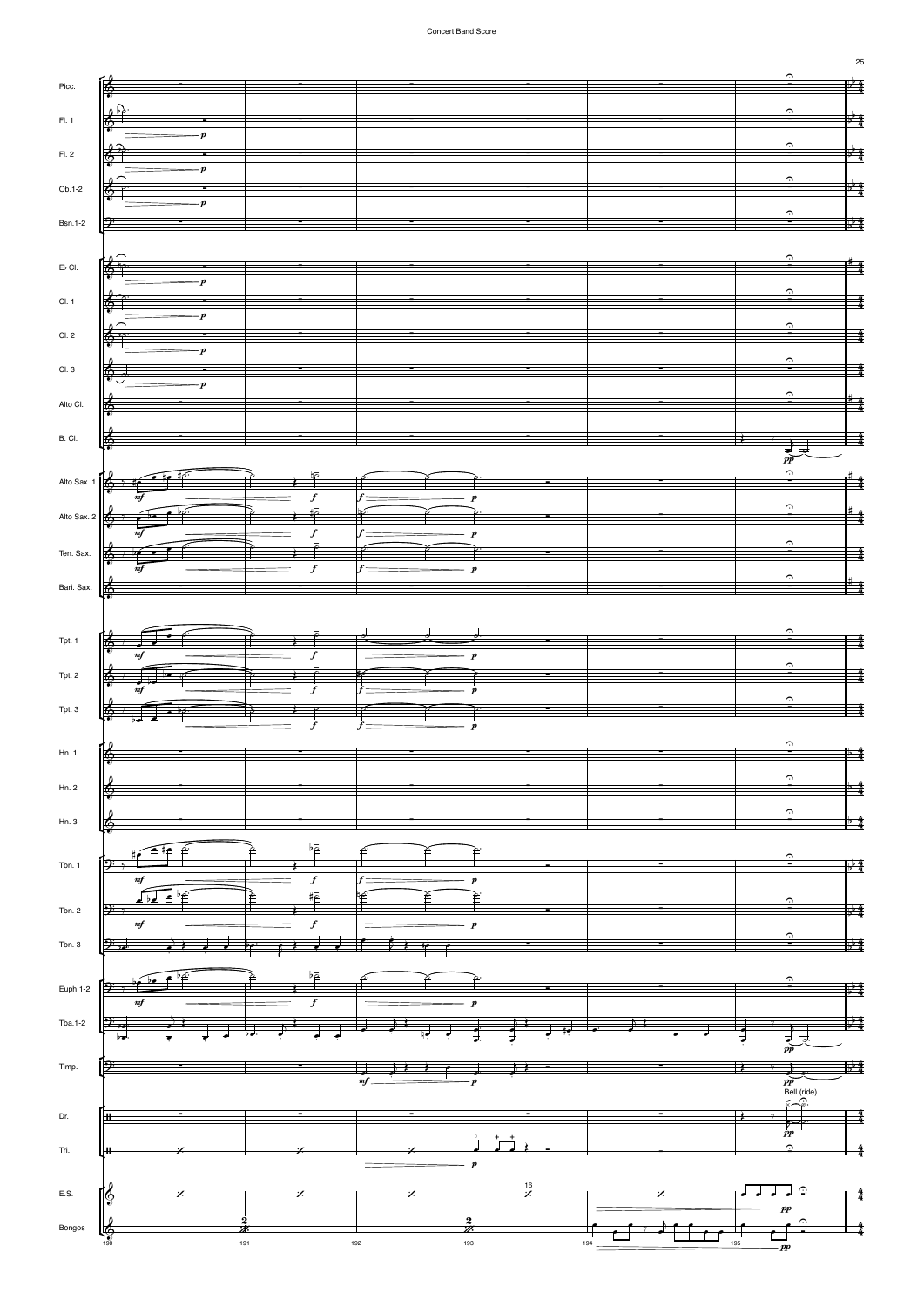![](_page_24_Figure_1.jpeg)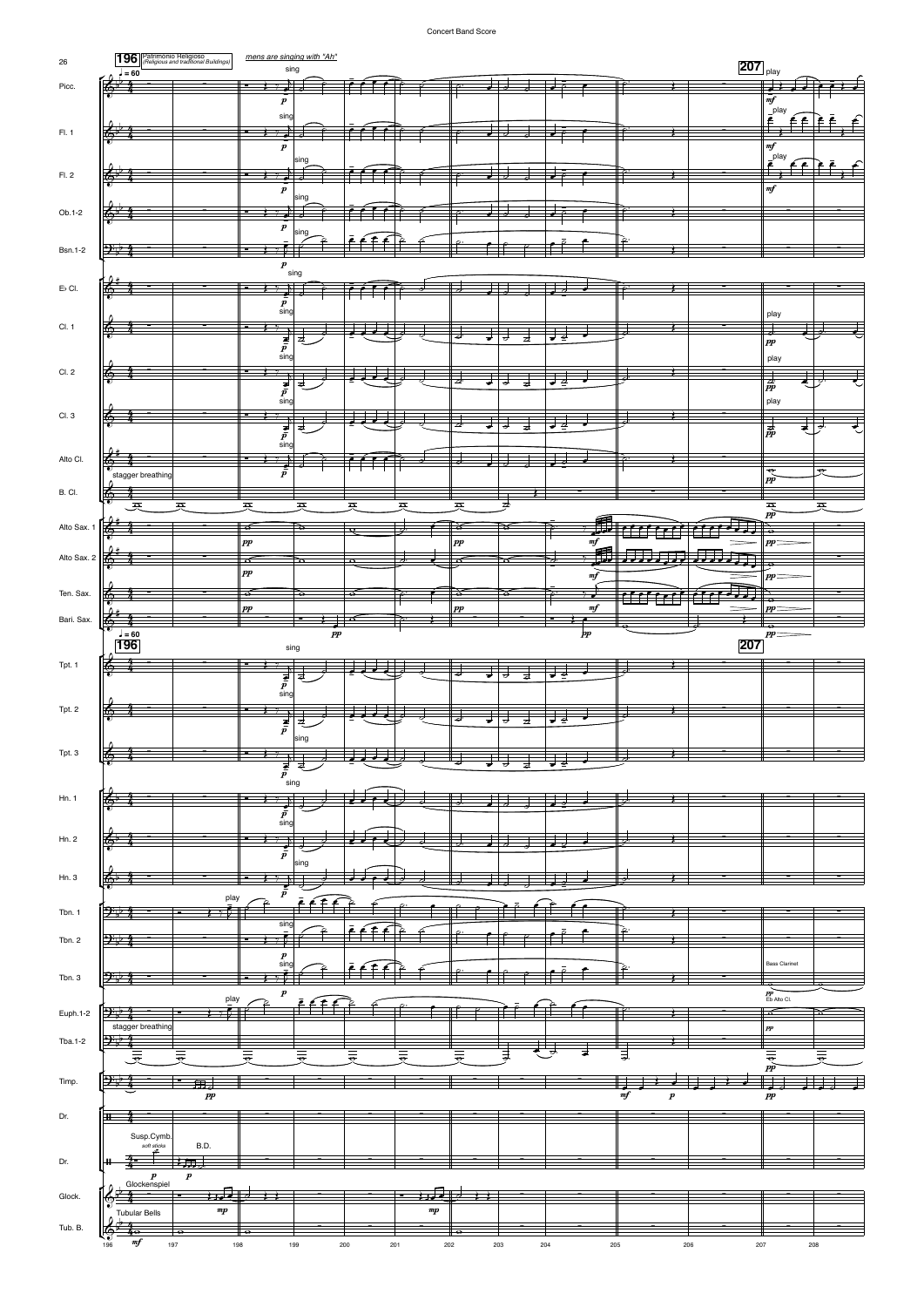![](_page_25_Figure_1.jpeg)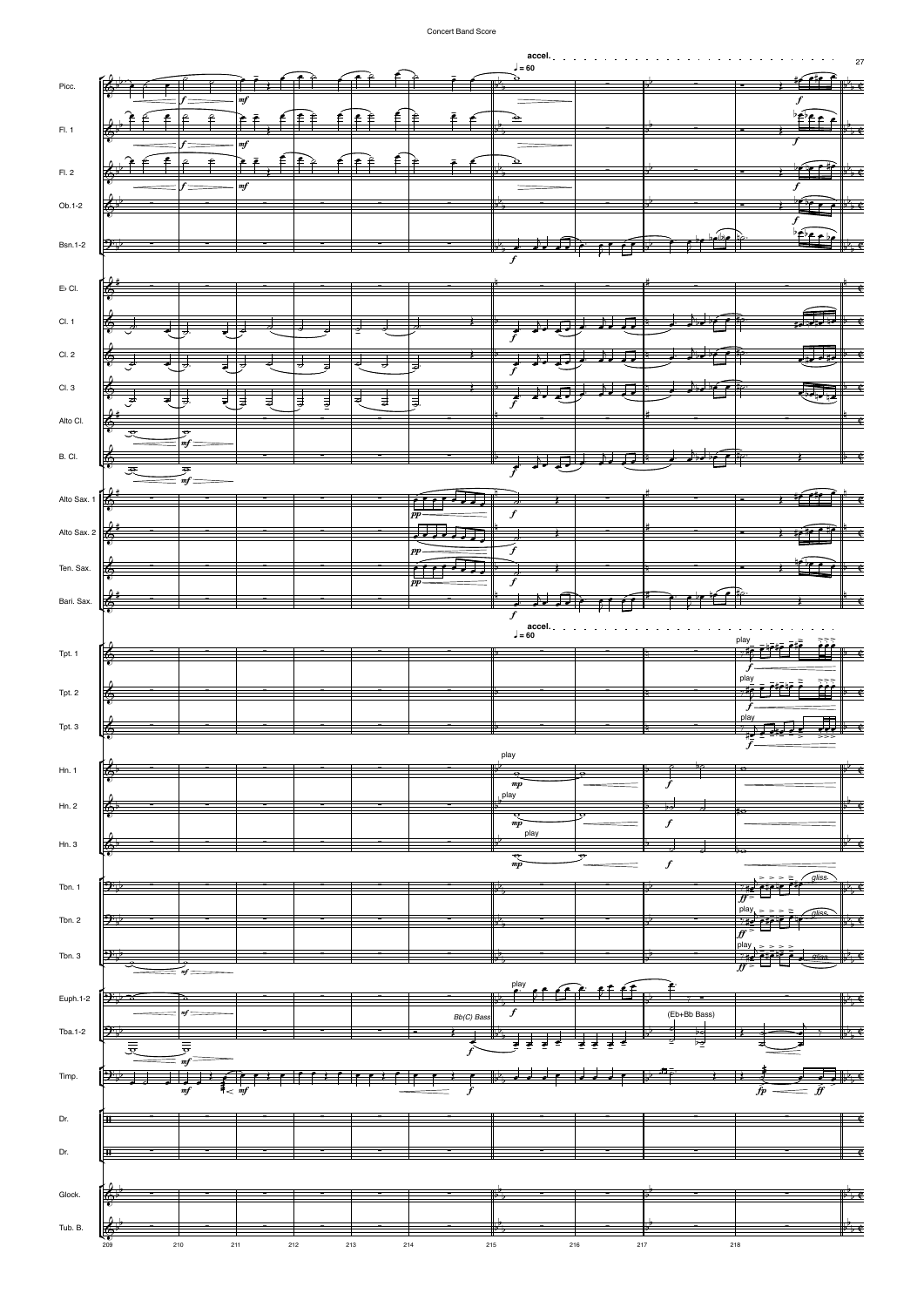![](_page_26_Figure_1.jpeg)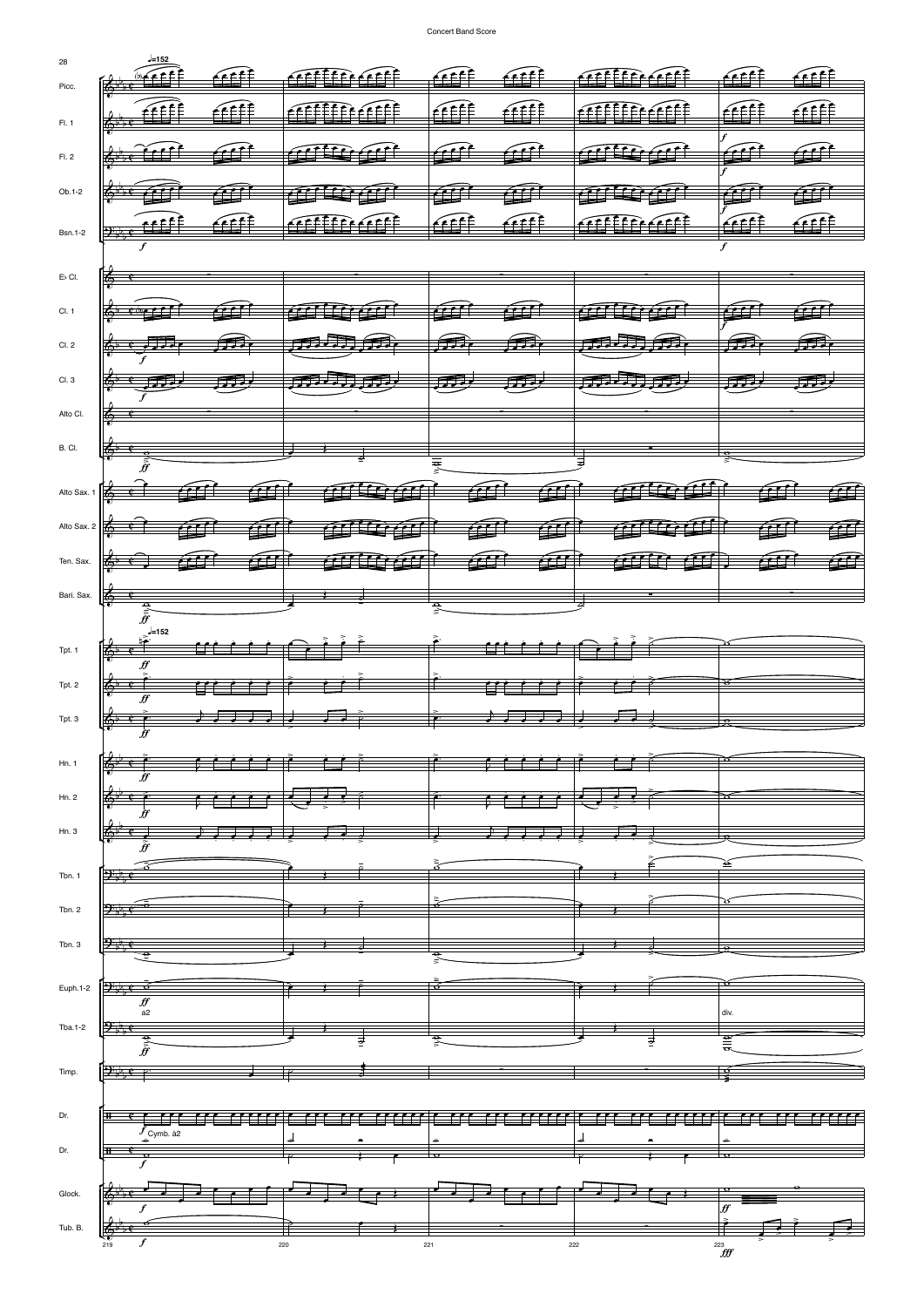![](_page_27_Figure_1.jpeg)